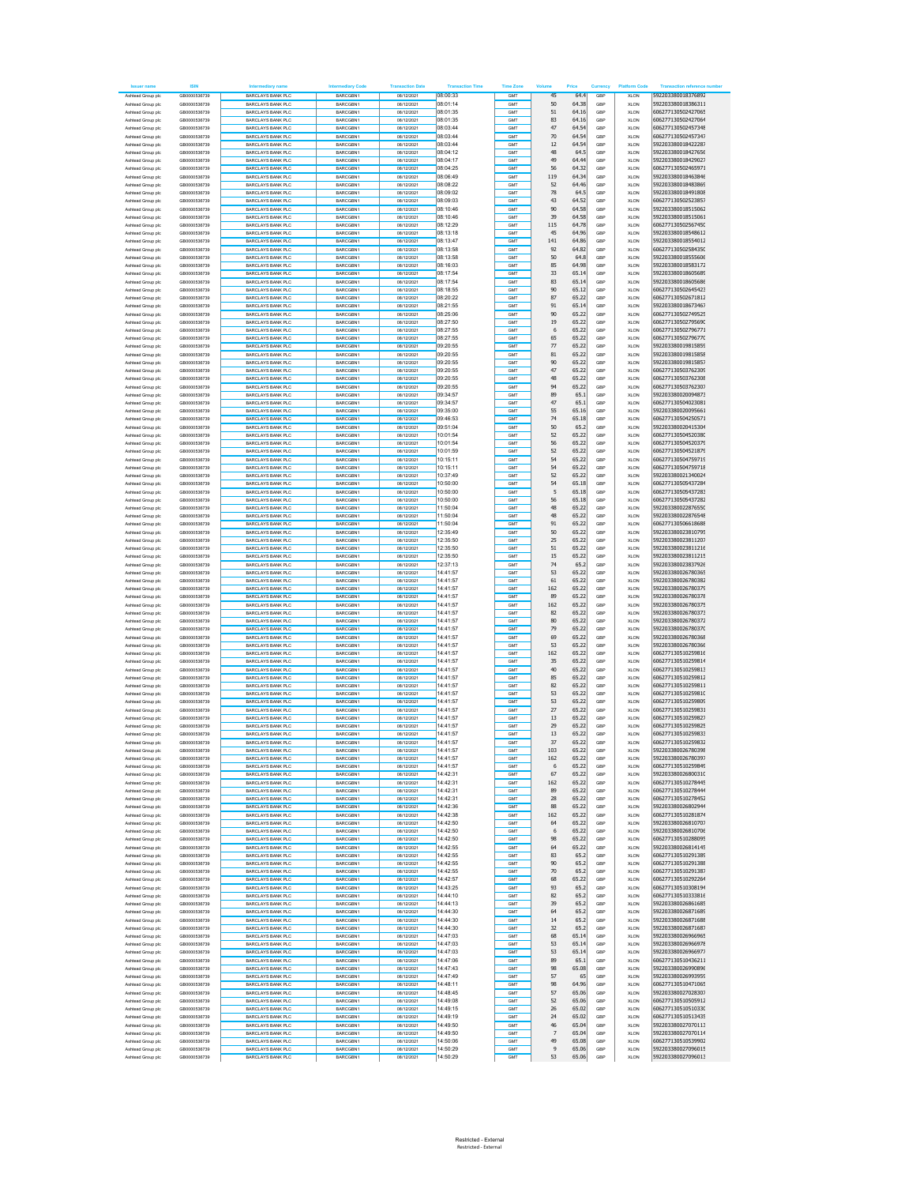| lessor nam                              | <b>ISIN</b>                  | diary name                                           | Inte<br>diary Code          | <b>Transaction Date</b>  | <b>Transaction Time</b> | <b>Time Zone</b> | Volum          | Price          | Currency   | <b>Platform Code</b>       | <b>Transaction refer</b><br>nce number   |
|-----------------------------------------|------------------------------|------------------------------------------------------|-----------------------------|--------------------------|-------------------------|------------------|----------------|----------------|------------|----------------------------|------------------------------------------|
| Ashtead Group plc                       | GB0000536739                 | <b>BARCLAYS BANK PLC</b><br>BARCLAYS BANK PLC        | BARCGBN1                    | 08/12/2021               | 08:00:33<br>08:01:14    | GMT              | 45<br>50       | 64.4           | GBP        | <b>XLON</b>                | 592203380018376892<br>592203380018386311 |
| Ashtead Group plc<br>Ashtead Group plc  | GB0000536739<br>GB0000536739 | <b>BARCLAYS BANK PLC</b>                             | BARCGBN1<br>BARCGBN1        | 08/12/2021<br>08/12/2021 | 08:01:35                | GMT<br>GMT       | 51             | 64.38<br>64.16 | GBP<br>GBP | <b>XLON</b><br><b>XLON</b> | 606277130502427065                       |
| Ashtead Group plc                       | GR0000536739                 | <b>BARCLAYS BANK PLC</b>                             | BARCGBN1                    | 08/12/2021               | 08:01:35                | GMT              | 83             | 64.16          | GRP        | <b>XLON</b>                | 606277130502427064                       |
| Ashtead Group plc                       | GB0000536739<br>GB0000536739 | <b>BARCLAYS BANK PLC</b>                             | BARCGBN1                    | 08/12/2021               | 08:03:44<br>08:03:44    | GMT              | 47             | 64.54<br>64.54 | GBP<br>GRP | <b>XLON</b>                | 606277130502457348                       |
| Ashtead Group plc<br>Ashtead Group plc  | GB0000536739                 | <b>BARCLAYS BANK PLC</b><br><b>BARCLAYS BANK PLC</b> | BARCGBN1<br>BARCGBN1        | 08/12/2021<br>08/12/2021 | 08:03:44                | GMT<br>GMT       | 70<br>12       | 64.54          | GBP        | XLON<br><b>XLON</b>        | 606277130502457347<br>592203380018422287 |
| Ashtead Group plc                       | GB0000536739                 | <b>BARCLAYS BANK PLC</b>                             | BARCGBN1                    | 08/12/2021               | 08:04:12                | GMT              | 48             | 64.5           | GBP        | <b>XLON</b>                | 592203380018427656                       |
| Ashtead Group plc                       | GR0000536739                 | BARCLAYS BANK PLC                                    | BARCGBN1                    | 08/12/2021               | 08:04:17                | GMT              | 49             | 64.44          | GRP        | <b>XLON</b>                | 592203380018429027                       |
| Ashtead Group plc<br>Ashtead Group plc  | GB0000536739<br>GB0000536739 | <b>BARCLAYS BANK PLC</b><br><b>BARCLAYS BANK PLC</b> | BARCGBN1<br>BARCGBN1        | 08/12/2021<br>08/12/2021 | 08:04:25<br>08:06:49    | GMT<br>GMT       | 56<br>119      | 64.32<br>64.34 | GBP<br>GBP | <b>XLON</b><br>XLON        | 606277130502465971<br>592203380018463846 |
| Ashtead Group plc                       | GB0000536739                 | <b>BARCLAYS BANK PLC</b>                             | BARCGBN1                    | 08/12/2021               | 08:08:22                | GMT              | 52             | 64.46          | GBP        | <b>XLON</b>                | 592203380018483869                       |
| Ashtead Group plc                       | GB0000536739                 | <b>BARCLAYS BANK PLC</b>                             | BARCGBN1                    | 08/12/2021               | 08:09:02                | GMT              | 78             | 64.5           | GBP        | <b>XLON</b>                | 592203380018491808                       |
| Ashtead Group plc<br>Ashtead Group plc  | GR0000536739<br>GB0000536739 | BARCLAYS BANK PLC<br><b>BARCLAYS BANK PLC</b>        | BARCGBN1<br>BARCGBN1        | 08/12/2021<br>08/12/2021 | 08:09:03<br>08:10:46    | GMT<br>GMT       | 43<br>90       | 64.52<br>64.58 | GRP<br>GBP | <b>XLON</b><br><b>XLON</b> | 606277130502523857<br>592203380018515062 |
| Ashtead Group plc                       | GB0000536739                 | <b>BARCLAYS BANK PLC</b>                             | BARCGBN1                    | 08/12/2021               | 08:10:46                | GMT              | 39             | 64.58          | GBP        | XLON                       | 592203380018515061                       |
| Ashtead Group plc                       | GB0000536739                 | <b>BARCLAYS BANK PLC</b>                             | BARCGBN1                    | 08/12/2021               | 08:12:29                | GMT              | 115            | 64.78          | GBP        | <b>XLON</b>                | 606277130502567450                       |
| Ashtead Group plc                       | GB0000536739<br>GR0000536739 | BARCLAYS BANK PLC<br>BARCLAYS BANK PLC               | BARCGBN1<br>BARCGBN1        | 08/12/2021<br>08/12/2021 | 08:13:18<br>08:13:47    | GMT<br>GMT       | 45<br>141      | 64.96<br>64.86 | GBP<br>GRP | <b>XLON</b><br><b>XLON</b> | 592203380018548612<br>592203380018554012 |
| Ashtead Group plc<br>Ashtead Group plc  | GB0000536739                 | <b>BARCLAYS BANK PLC</b>                             | BARCGBN1                    | 08/12/2021               | 08:13:58                | GMT              | 92             | 64.82          | GBP        | <b>XLON</b>                | 606277130502584350                       |
| Ashtead Group plc                       | GB0000536739                 | <b>BARCLAYS BANK PLC</b>                             | BARCGBN1                    | 08/12/2021               | 08:13:58                | GMT              | 50             | 64.8           | GBP        | XLON                       | 592203380018555606                       |
| Ashtead Group plc<br>Ashtead Group plc  | GB0000536739<br>GB0000536739 | <b>BARCLAYS BANK PLC</b><br><b>BARCLAYS BANK PLC</b> | BARCGBN1<br>BARCGBN1        | 08/12/2021<br>08/12/2021 | 08:16:03<br>08:17:54    | GMT<br>GMT       | 85<br>33       | 64.98<br>65.14 | GBP<br>GBP | <b>XLON</b><br><b>XLON</b> | 592203380018583172<br>592203380018605689 |
| Ashtead Group plc                       | GR0000536739                 | <b>BARCLAYS BANK PLC</b>                             | BARCGBN1                    | 08/12/2021               | 08:17:54                | GMT              | 83             | 65.14          | GRP        | <b>XLON</b>                | 592203380018605686                       |
| Ashtead Group plc                       | GB0000536739                 | <b>BARCLAYS BANK PLC</b>                             | BARCGBN1                    | 08/12/2021               | 08:18:55                | GMT              | 90             | 65.12          | GBP        | <b>XLON</b>                | 606277130502645423                       |
| Ashtead Group plc                       | GB0000536739                 | <b>BARCLAYS BANK PLC</b>                             | BARCGBN1                    | 08/12/2021               | 08:20:22                | GMT              | 87             | 65.22          | GBP        | XLON                       | 606277130502671812                       |
| Ashtead Group plc<br>Ashtead Group plc  | GB0000536739<br>GB0000536739 | <b>BARCLAYS BANK PLC</b><br><b>BARCLAYS BANK PLC</b> | BARCGBN1<br>BARCGBN1        | 08/12/2021<br>08/12/2021 | 08:21:55<br>08:25:06    | GMT<br>GMT       | 91<br>90       | 65.14<br>65.22 | GBP<br>GBP | <b>XLON</b><br><b>XLON</b> | 592203380018673467<br>606277130502749525 |
| Ashtead Group plc                       | GR0000536739                 | BARCLAYS BANK PLC                                    | BARCGBN1                    | 08/12/2021               | 08:27:50                | GMT              | 19             | 65.22          | GRP        | <b>XLON</b>                | 606277130502795690                       |
| Ashtead Group plc                       | GB0000536739                 | <b>BARCLAYS BANK PLC</b>                             | BARCGBN1                    | 08/12/2021               | 08:27:55                | GMT              | 6              | 65.22          | GBP        | <b>XLON</b>                | 606277130502796771                       |
| Ashtead Group plc<br>Ashtead Group plc  | GB0000536739<br>GB0000536739 | <b>BARCLAYS BANK PLC</b><br><b>BARCLAYS BANK PLC</b> | BARCGBN1<br>BARCGBN1        | 08/12/2021<br>08/12/2021 | 08:27:55<br>09:20:55    | GMT<br>GMT       | 65<br>77       | 65.22<br>65.22 | GBP<br>GBP | XLON<br><b>XLON</b>        | 606277130502796770<br>592203380019815859 |
| Ashtead Group plc                       | GB0000536739                 | <b>BARCLAYS BANK PLC</b>                             | BARCGBN1                    | 08/12/2021               | 09:20:55                | GMT              | 81             | 65.22          | GBP        | <b>XLON</b>                | 592203380019815858                       |
| Ashtead Group plc                       | GR0000536739                 | BARCLAYS BANK PLC                                    | BARCGBN1                    | 08/12/2021               | 09:20:55                | GMT              | 90             | 65.22          | GRP        | <b>XLON</b>                | 592203380019815857                       |
| Ashtead Group plc                       | GB0000536739<br>GB0000536739 | <b>BARCLAYS BANK PLC</b><br><b>BARCLAYS BANK PLC</b> | BARCGBN1<br>BARCGBN1        | 08/12/2021<br>08/12/2021 | 09:20:55<br>09:20:55    | GMT<br>GMT       | 47<br>48       | 65.22<br>65.22 | GBP<br>GBP | <b>XLON</b>                | 606277130503762309<br>606277130503762308 |
| Ashtead Group plc<br>Ashtead Group plc. | GB0000536739                 | <b>BARCLAYS BANK PLC</b>                             | BARCGBN1                    | 08/12/2021               | 09:20:55                | GMT              | 94             | 65.22          | GBP        | XLON<br><b>XLON</b>        | 606277130503762307                       |
| Ashtead Group plc                       | GB0000536739                 | BARCLAYS BANK PLC                                    | BARCGBN1                    | 08/12/2021               | 09:34:57                | GMT              | 89             | 65.1           | GBP        | <b>XLON</b>                | 592203380020094873                       |
| Ashtead Group plc                       | GR0000536739                 | BARCLAYS BANK PLC                                    | BARCGBN1                    | 08/12/2021               | 09:34:57                | GMT              | 47             | 65.1           | GRP        | <b>XLON</b>                | 606277130504023081                       |
| Ashtead Group plc<br>Ashtead Group plc  | GB0000536739<br>GB0000536739 | <b>BARCLAYS BANK PLC</b><br><b>BARCLAYS BANK PLC</b> | BARCGBN1<br>BARCGBN1        | 08/12/2021<br>08/12/2021 | 09:35:00<br>09:46:53    | GMT<br>GMT       | 55<br>74       | 65.16<br>65.18 | GBP<br>GBP | <b>XLON</b><br>XLON        | 592203380020095661<br>606277130504250571 |
| Ashtead Group plc                       | GB0000536739                 | <b>BARCLAYS BANK PLC</b>                             | BARCGBN1                    | 08/12/2021               | 09:51:04                | GMT              | 50             | 65.2           | GBP        | <b>XLON</b>                | 592203380020415304                       |
| Ashtead Group plc                       | GB0000536739                 | <b>BARCLAYS BANK PLC</b>                             | BARCGBN1                    | 08/12/2021               | 10:01:54                | GMT              | 52             | 65.22          | GBP        | <b>XLON</b>                | 606277130504520380                       |
| Ashtead Group plc<br>Ashtead Group plc  | GR0000536739<br>GB0000536739 | <b>BARCLAYS BANK PLC</b><br><b>BARCLAYS BANK PLC</b> | BARCGBN1<br>BARCGBN1        | 08/12/2021<br>08/12/2021 | 10:01:54<br>10:01:59    | GMT<br>GMT       | 56<br>52       | 65.22<br>65.22 | GRP<br>GBP | <b>XLON</b><br><b>XLON</b> | 606277130504520379<br>606277130504521879 |
| Ashtead Group plc                       | GR0000536739                 | <b>BARCLAYS BANK PLC</b>                             | BARCGBN1                    | 08/12/2021               | 10:15:11                | GMT              | 54             | 65.22          | GBP        | XLON                       | 606277130504759719                       |
| Ashtead Group plc.                      | GB0000536739                 | <b>BARCLAYS BANK PLC</b>                             | BARCGBN1                    | 08/12/2021               | 10:15:11                | GMT              | 54             | 65.22          | GBP        | <b>XLON</b>                | 606277130504759718                       |
| Ashtead Group plc                       | GB0000536739<br>GR0000536739 | BARCLAYS BANK PLC<br>BARCLAYS BANK PLC               | BARCGBN1<br>BARCGBN1        | 08/12/2021<br>08/12/2021 | 10:37:49<br>10:50:00    | GMT<br>GMT       | 52<br>54       | 65.22<br>65.18 | GBP<br>GRP | <b>XLON</b><br><b>XLON</b> | 592203380021340024<br>606277130505437284 |
| Ashtead Group plc<br>Ashtead Group plc  | GB0000536739                 | <b>BARCLAYS BANK PLC</b>                             | BARCGBN1                    | 08/12/2021               | 10:50:00                | GMT              | 5              | 65.18          | GBP        | <b>XLON</b>                | 606277130505437283                       |
| Ashtead Group plc                       | GB0000536739                 | <b>BARCLAYS BANK PLC</b>                             | BARCGBN1                    | 08/12/2021               | 10:50:00                | GMT              | 56             | 65.18          | GBP        | XLON                       | 606277130505437282                       |
| Ashtead Group plc<br>Ashtead Group plc  | GB0000536739<br>GB0000536739 | <b>BARCLAYS BANK PLC</b><br><b>BARCLAYS BANK PLC</b> | BARCGBN1<br>BARCGBN1        | 08/12/2021<br>08/12/2021 | 11:50:04<br>11:50:04    | GMT<br>GMT       | 48<br>48       | 65.22<br>65.22 | GBP<br>GBP | <b>XLON</b><br><b>XLON</b> | 592203380022876550<br>592203380022876548 |
| Ashtead Group plc                       | GR0000536739                 | <b>BARCLAYS BANK PLC</b>                             | BARCGBN1                    | 08/12/2021               | 11:50:04                | GMT              | 91             | 65.22          | GRP        | <b>XLON</b>                | 606277130506618688                       |
| Ashtead Group plc                       | GB0000536739                 | <b>BARCLAYS BANK PLC</b>                             | BARCGBN1                    | 08/12/2021               | 12:35:49                | GMT              | 50             | 65.22          | GBP        | <b>XLON</b>                | 592203380023810795                       |
| Ashtead Group plc                       | GB0000536739                 | <b>BARCLAYS BANK PLC</b>                             | BARCGBN1                    | 08/12/2021               | 12:35:50                | GMT              | 25             | 65.22          | GBP        | XLON                       | 592203380023811207                       |
| Ashtead Group plc<br>Ashtead Group plc  | GB0000536739<br>GB0000536739 | <b>BARCLAYS BANK PLC</b><br><b>BARCLAYS BANK PLC</b> | BARCGBN1<br>BARCGBN1        | 08/12/2021<br>08/12/2021 | 12:35:50<br>12:35:50    | GMT<br>GMT       | 51<br>15       | 65.22<br>65.22 | GBP<br>GBP | <b>XLON</b><br><b>XLON</b> | 592203380023811216<br>592203380023811215 |
| Ashtead Group plc                       | GR0000536739                 | BARCLAYS BANK PLC                                    | BARCGBN1                    | 08/12/2021               | 12:37:13                | GMT              | 74             | 65.2           | GRP        | <b>XLON</b>                | 592203380023837926                       |
| Ashtead Group plc                       | GB0000536739                 | <b>BARCLAYS BANK PLC</b>                             | BARCGBN1                    | 08/12/2021               | 14:41:57                | GMT              | 53             | 65.22          | GBP        | <b>XLON</b>                | 592203380026780365                       |
| Ashtead Group plc<br>Ashtead Group plc  | GB0000536739<br>GB0000536739 | <b>BARCLAYS BANK PLC</b><br><b>BARCLAYS BANK PLC</b> | BARCGBN1<br>BARCGBN1        | 08/12/2021<br>08/12/2021 | 14:41:57<br>14:41:57    | GMT<br>GMT       | 61<br>162      | 65.22<br>65.22 | GBP<br>GBP | XLON<br><b>XLON</b>        | 592203380026780382<br>592203380026780379 |
| Ashtead Group plc                       | GB0000536739                 | <b>BARCLAYS BANK PLC</b>                             | BARCGBN1                    | 08/12/2021               | 14:41:57                | GMT              | 89             | 65.22          | GBP        | <b>XLON</b>                | 592203380026780378                       |
| Ashtead Group plc                       | GR0000536739                 | <b>BARCLAYS BANK PLC</b>                             | BARCGBN1                    | 08/12/2021               | 14:41:57                | GMT              | 162            | 65.22          | GRP        | <b>XLON</b>                | 592203380026780375                       |
| Ashtead Group plc<br>Ashtead Group plc  | GB0000536739<br>GB0000536739 | <b>BARCLAYS BANK PLC</b><br><b>BARCLAYS BANK PLC</b> | BARCGBN1<br>BARCGBN1        | 08/12/2021<br>08/12/2021 | 14:41:57<br>14:41:57    | GMT<br>GMT       | 82<br>80       | 65.22<br>65.22 | GBP<br>GBP | <b>XLON</b><br>XLON        | 592203380026780373<br>592203380026780372 |
| Ashtead Group plc                       | GB0000536739                 | <b>BARCLAYS BANK PLC</b>                             | BARCGBN1                    | 08/12/2021               | 14:41:57                | GMT              | 79             | 65.22          | GBP        | <b>XLON</b>                | 592203380026780370                       |
| Ashtead Group plc                       | GB0000536739                 | <b>BARCLAYS BANK PLC</b>                             | BARCGBN1                    | 08/12/2021               | 14:41:57                | GMT              | 69             | 65.22          | GBP        | <b>XLON</b>                | 592203380026780368                       |
| Ashtead Group plc                       | GR0000536739<br>GB0000536739 | BARCLAYS BANK PLC<br><b>BARCLAYS BANK PLC</b>        | BARCGBN1<br>BARCGBN1        | 08/12/2021<br>08/12/2021 | 14:41:57<br>14:41:57    | GMT<br>GMT       | 53<br>162      | 65.22<br>65.22 | GRP<br>GBP | <b>XLON</b><br><b>XLON</b> | 592203380026780366<br>606277130510259816 |
| Ashtead Group plc<br>Ashtead Group plc  | GB0000536739                 | <b>BARCLAYS BANK PLC</b>                             | BARCGBN1                    | 08/12/2021               | 14:41:57                | GMT              | 35             | 65.22          | GBP        | XLON                       | 606277130510259814                       |
| Ashtead Group plc                       | GB0000536739                 | <b>BARCLAYS BANK PLC</b>                             | BARCGBN1                    | 08/12/2021               | 14:41:57                | GMT              | 40             | 65.22          | GBP        | <b>XLON</b>                | 606277130510259813                       |
| Ashtead Group plc                       | GB0000536739<br>GR0000536739 | <b>BARCLAYS BANK PLC</b>                             | BARCGBN1                    | 08/12/2021               | 14:41:57                | GMT<br>GMT       | 85             | 65.22          | GBP<br>GRP | <b>XLON</b>                | 606277130510259812                       |
| Ashtead Group plc<br>Ashtead Group plc  | GB0000536739                 | <b>BARCLAYS BANK PLC</b><br><b>BARCLAYS BANK PLC</b> | BARCGBN1<br>BARCGBN1        | 08/12/2021<br>08/12/2021 | 14:41:57<br>14:41:57    | GMT              | 82<br>53       | 65.22<br>65.22 | GBP        | <b>XLON</b><br>XLON        | 606277130510259811<br>606277130510259810 |
| Ashtead Group plc                       | GR0000536739                 | <b>BARCLAYS BANK PLC</b>                             | BARCGBN1                    | 08/12/2021               | 14:41:57                | GMT              | 53             | 65.22          | GBP        | XLON                       | 606277130510259809                       |
| Ashtead Group plc                       | GB0000536739                 | <b>BARCLAYS BANK PLC</b>                             | BARCGBN1                    | 08/12/2021               | 14:41:57                | GMT              | 27             | 65.22          | GBP        | <b>XLON</b>                | 606277130510259831                       |
| Ashtead Group plc<br>Ashtead Group plc  | GB0000536739<br>GR0000536739 | <b>BARCLAYS BANK PLC</b><br>BARCLAYS BANK PLC        | BARCGBN1<br>BARCGBN1        | 08/12/2021<br>08/12/2021 | 14:41:57<br>14:41:57    | GMT<br>GMT       | 13<br>29       | 65.22<br>65.22 | GBP<br>GRP | <b>XLON</b><br><b>XLON</b> | 606277130510259827<br>606277130510259825 |
| Ashtead Group plc                       | GB0000536739                 | <b>BARCLAYS BANK PLC</b>                             | BARCGBN1                    | 08/12/2021               | 14:41:57                | GMT              | 13             | 65.22          | GBP        | <b>XLON</b>                | 606277130510259833                       |
| Ashtead Group plc                       | GB0000536739                 | <b>BARCLAYS BANK PLC</b>                             | BARCGBN1                    | 08/12/2021               | 14:41:57                | GMT              | 37             | 65.22          | GBP        | <b>XLON</b>                | 606277130510259832                       |
| Ashtead Group plc<br>Ashtead Group plc  | GB0000536739<br>GB0000536739 | BARCLAYS BANK PLC<br><b>BARCLAYS BANK PLC</b>        | BARCGBN1<br>BARCGBN1        | 08/12/2021<br>08/12/2021 | 14:41:57<br>14:41:57    | GMT<br>GMT       | 103<br>162     | 65.22<br>65.22 | GBP<br>GBF | <b>XLON</b><br><b>XLON</b> | 592203380026780398<br>592203380026780397 |
| Ashtead Group plc                       | GR0000536739                 | <b>BARCLAYS BANK PLC</b>                             | BARCGBN1                    | 08/12/2021               | 14.41.57                | GMT              | 6              | 65.22          | GRP        | <b>XLON</b>                | 606277130510259849                       |
| Ashtead Group plc                       | GB0000536739<br>GB0000536739 | <b>BARCLAYS BANK PLC</b><br>BARCLAYS BANK PLC        | BARCGBN1<br>BARCGBN1        | 08/12/2021               | 14:42:31<br>14:42:31    | GMT              | 67<br>162      | 65.22<br>65.22 | GBP<br>GBP | <b>XLON</b>                | 592203380026800310<br>606277130510278445 |
| Ashtead Group plc<br>Ashtead Group plc  | GB0000536739                 | <b>BARCLAYS BANK PLC</b>                             | BARCGBN1                    | 08/12/2021<br>08/12/2021 | 14:42:31                | GMT<br>GMT       | 89             | 65.22          | GBP        | XLON<br><b>XLON</b>        | 606277130510278444                       |
| Ashtead Group plc                       | GB0000536739                 | <b>BARCLAYS BANK PLC</b>                             | BARCGBN1                    | 08/12/2021               | 14:42:31                | GMT              | 28             | 65.22          | GBF        | <b>XLON</b>                | 606277130510278452                       |
| Ashtead Group plc                       | GB0000536739                 | <b>BARCLAYS BANK PLC</b>                             | BARCGBN1                    | 08/12/2021               | 14:42:36                | GMT              | 88             | 65.22          | GRP        | <b>XLON</b>                | 592203380026802944                       |
| Ashtead Group plc<br>Ashtead Group plc  | GB0000536739<br>GR0000536739 | BARCLAYS BANK PLC<br><b>BARCLAYS BANK PLC</b>        | BARCGBN1<br>BARCGBN1        | 08/12/2021<br>08/12/2021 | 14:42:38<br>14:42:50    | GMT<br>GMT       | 162<br>64      | 65.22<br>65.22 | GBP<br>GBP | <b>XLON</b><br>XLON        | 606277130510281874<br>592203380026810707 |
| Ashtead Group plc                       | GR0000536739                 | <b>BARCLAYS BANK PLC</b>                             | BARCGBN1                    | 08/12/2021               | 14:42:50                | GMT              | 6              | 65.22          | GBP        | <b>XLON</b>                | 592203380026810706                       |
| Ashtead Group plc                       | GB0000536739                 | <b>BARCLAYS BANK PLC</b>                             | BARCGBN1                    | 08/12/2021               | 14:42:50                | GMT              | 98             | 65.22          | GBF        | <b>XLON</b>                | 606277130510288095                       |
| Ashtead Group plc<br>Ashtead Group plc  | GR0000536739<br>GB0000536739 | <b>BARCLAYS BANK PLC</b><br><b>BARCLAYS BANK PLC</b> | <b>BARCGRN1</b><br>BARCGBN1 | 08/12/2021<br>08/12/2021 | 14:42:55<br>14:42:55    | GMT<br>GMT       | 64<br>83       | 65.22<br>65.2  | GRP<br>GBP | <b>XLON</b><br>XLON        | 592203380026814145<br>606277130510291389 |
| Ashtead Group plc                       | GB0000536739                 | <b>BARCLAYS BANK PLC</b>                             | BARCGBN1                    | 08/12/2021               | 14:42:55                | GMT              | 90             | 65.2           | GBP        | XLON                       | 606277130510291388                       |
| Ashtead Group plc                       | GB0000536739                 | <b>BARCLAYS BANK PLC</b>                             | BARCGBN1                    | 08/12/2021               | 14:42:55                | GMT              | 70             | 65.2           | GBP        | <b>XLON</b>                | 606277130510291387                       |
| Ashtead Group plc<br>Ashtead Group plc  | GB0000536739<br>GB0000536739 | <b>BARCLAYS BANK PLC</b><br><b>BARCLAYS BANK PLC</b> | BARCGBN1<br>BARCGBN1        | 08/12/2021<br>08/12/2021 | 14:42:57<br>14.43.25    | GMT<br>GMT       | 68<br>93       | 65.22<br>65.2  | GBF<br>GRP | <b>XLON</b><br><b>XLON</b> | 606277130510292264<br>606277130510308194 |
| Ashtead Group plc                       | GB0000536739                 | <b>BARCLAYS BANK PLC</b>                             | BARCGBN1                    | 08/12/2021               | 14:44:10                | GMT              | 82             | 65.2           | GBP        | <b>XLON</b>                | 606277130510333816                       |
| Ashtead Group plc                       | GB0000536739                 | <b>BARCLAYS BANK PLC</b>                             | BARCGBN1                    | 08/12/2021               | 14:44:13                | GMT              | 39             | 65.2           | GBP        | XLON                       | 592203380026861685                       |
| Ashtead Group plc                       | GR0000536739                 | <b>BARCLAYS BANK PLC</b>                             | BARCGBN1                    | 08/12/2021               | 14:44:30                | GMT              | 64             | 65.2           | GBP        | <b>XLON</b>                | 592203380026871689                       |
| Ashtead Group plc<br>Ashtead Group plc  | GB0000536739<br>GB0000536739 | <b>BARCLAYS BANK PLC</b><br><b>BARCLAYS BANK PLC</b> | BARCGBN1<br>BARCGBN1        | 08/12/2021<br>08/12/2021 | 14:44:30<br>14:44:30    | GMT<br>GMT       | 14<br>32       | 65.2<br>65.2   | GBF<br>GRP | <b>XLON</b><br><b>XLON</b> | 592203380026871688<br>592203380026871687 |
| Ashtead Group plc                       | GB0000536739                 | <b>BARCLAYS BANK PLC</b>                             | BARCGBN1                    | 08/12/2021               | 14:47:03                | GMT              | 68             | 65.14          | GBP        | XLON                       | 592203380026966965                       |
| Ashtead Group plc                       | GB0000536739                 | <b>BARCLAYS BANK PLC</b>                             | BARCGBN1                    | 08/12/2021               | 14:47:03                | GMT              | 53             | 65.14          | GBP        | XLON                       | 592203380026966978                       |
| Ashtead Group plc<br>Ashtead Group plc  | GB0000536739<br>GB0000536739 | <b>BARCLAYS BANK PLC</b><br><b>BARCLAYS BANK PLC</b> | BARCGBN1<br>BARCGBN1        | 08/12/2021<br>08/12/2021 | 14:47:03<br>14:47:06    | GMT<br>GMT       | 53<br>89       | 65.14<br>65.1  | GBP<br>GBF | <b>XLON</b><br><b>XLON</b> | 592203380026966977<br>606277130510436211 |
| Ashtead Group plc                       | GB0000536739                 | BARCLAYS BANK PLC                                    | BARCGBN1                    | 08/12/2021               | 14.47.43                | GMT              | 98             | 65.08          | GRP        | <b>XLON</b>                | 592203380026990896                       |
| Ashtead Group plc                       | GB0000536739                 | <b>BARCLAYS BANK PLC</b>                             | BARCGBN1                    | 08/12/2021               | 14:47:49                | GMT              | 57             | 65             | GBP        | <b>XLON</b>                | 592203380026993959                       |
| Ashtead Group plc<br>Ashtead Group plc  | GB0000536739<br>GB0000536739 | <b>BARCLAYS BANK PLC</b><br><b>BARCLAYS BANK PLC</b> | BARCGBN1<br>BARCGBN1        | 08/12/2021<br>08/12/2021 | 14:48:11<br>14:48:45    | GMT<br>GMT       | 98<br>57       | 64.96<br>65.06 | GBP<br>GBP | XLON<br><b>XLON</b>        | 606277130510471065<br>592203380027028307 |
| Ashtead Group plc                       | GB0000536739                 | <b>BARCLAYS BANK PLC</b>                             | BARCGBN1                    | 08/12/2021               | 14:49:08                | GMT              | 52             | 65.06          | GBF        | <b>XLON</b>                | 606277130510505912                       |
| Ashtead Group plc                       | GB0000536739                 | <b>BARCLAYS BANK PLC</b>                             | BARCGBN1                    | 08/12/2021               | 14:49:15                | GMT              | 26             | 65.02          | GRP        | <b>XLON</b>                | 606277130510510330                       |
| Ashtead Group plc                       | GB0000536739<br>GB0000536739 | <b>BARCLAYS BANK PLC</b><br><b>BARCLAYS BANK PLC</b> | BARCGBN1<br>BARCGBN1        | 08/12/2021               | 14:49:19<br>14:49:50    | GMT<br>GMT       | 24<br>46       | 65.02<br>65.04 | GBP<br>GBP | XLON                       | 606277130510513435<br>592203380027070113 |
| Ashtead Group plc<br>Ashtead Group plc  | GB0000536739                 | <b>BARCLAYS BANK PLC</b>                             | BARCGBN1                    | 08/12/2021<br>08/12/2021 | 14:49:50                | GMT              | $\overline{7}$ | 65.04          | GBP        | XLON<br><b>XLON</b>        | 592203380027070114                       |
| Ashtead Group plc                       | GB0000536739                 | <b>BARCLAYS BANK PLC</b>                             | BARCGBN1                    | 08/12/2021               | 14:50:06                | GMT              | 49             | 65.08          | GBF        | <b>XLON</b>                | 606277130510539902                       |
| Ashtead Group plc                       | GR0000536739<br>GB0000536739 | <b>BARCLAYS BANK PLC</b>                             | BARCGBN1                    | 08/12/2021               | 14:50:29                | GMT              | q              | 65.06          | GBP        | <b>XLON</b>                | 592203380027096015                       |
| Ashtead Group plc                       |                              | <b>BARCLAYS BANK PLC</b>                             | BARCGBN1                    | 08/12/2021               | 14:50:29                | GMT              | 53             | 65.06          | GBP        | <b>XLON</b>                | 592203380027096013                       |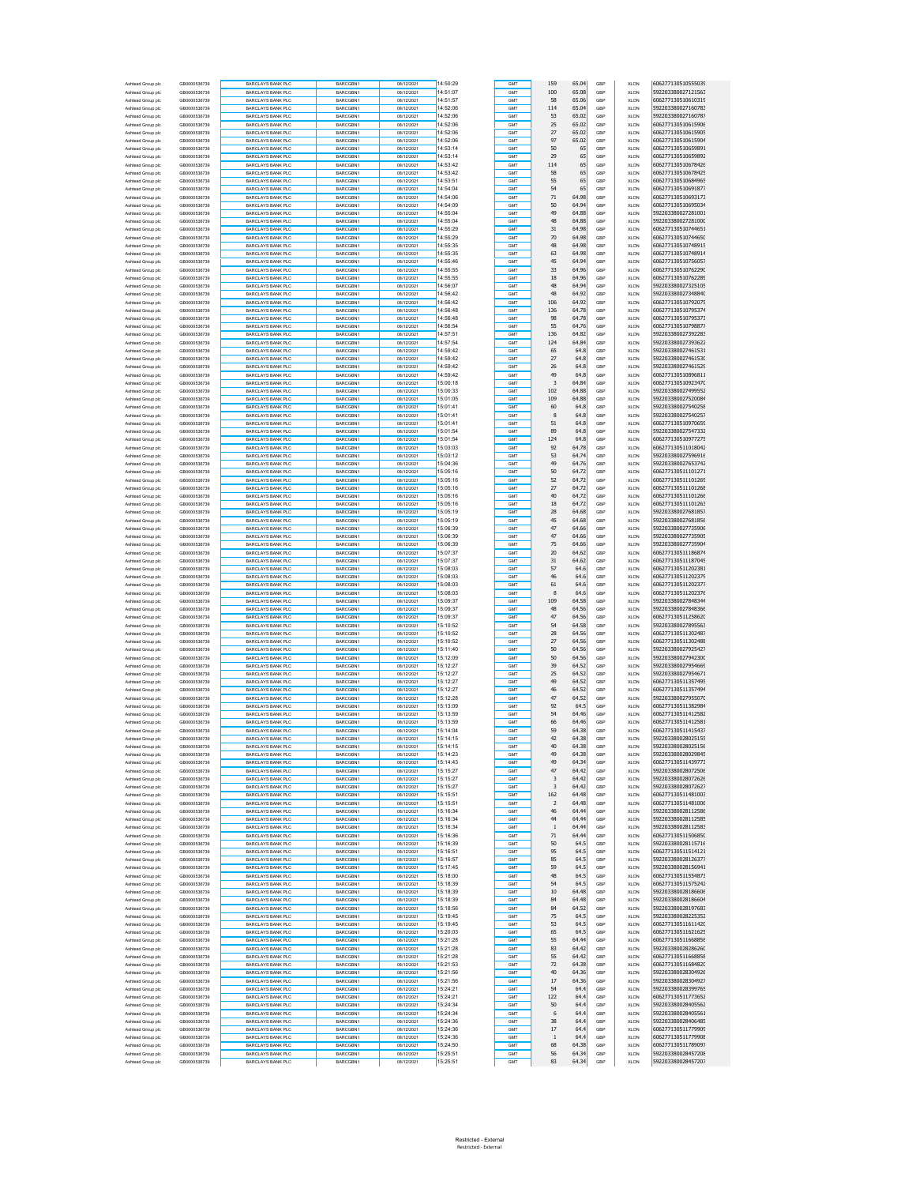|                   |              | <b>BARCLAYS BANK PLC</b> |                 |            | 14:50:29             |            | 159                       | 65.04          |     |             | 606277130510555039                       |
|-------------------|--------------|--------------------------|-----------------|------------|----------------------|------------|---------------------------|----------------|-----|-------------|------------------------------------------|
| Ashtead Group plc | GB0000536739 |                          | BARCGBN1        | 08/12/2021 | 14:51:07             | GMT        |                           |                | GBP | <b>XLON</b> | 592203380027121563                       |
| Ashtead Group plc | GB0000536739 | <b>BARCLAYS BANK PLC</b> | <b>BARCGBN1</b> | 08/12/2021 |                      | GMT        | 100                       | 65.08          | GBP | <b>XLON</b> |                                          |
| Ashtead Group plc | GB0000536739 | <b>BARCLAYS BANK PLC</b> | BARCGBN1        | 08/12/2021 | 14:51:57             | GMT        | 58                        | 65.06          | GBP | <b>XLON</b> | 606277130510610319                       |
| Ashtead Group plc | GB0000536739 | <b>BARCLAYS BANK PLC</b> | BARCGBN1        | 08/12/2021 | 14:52:06             | GMT        | 114                       | 65.04          | GBP | <b>XLON</b> | 592203380027160783                       |
| Ashtead Group plo | GB0000536739 | <b>BARCLAYS BANK PLC</b> | BARCGBN1        | 08/12/2021 | 14:52:06             | GMT        | 53                        | 65.02          | GBP | <b>XLON</b> | 592203380027160787                       |
| Ashtead Group plc | GB0000536739 | <b>BARCLAYS BANK PLC</b> | BARCGBN1        | 08/12/2021 | 14:52:06             | GMT        | 25                        | 65.02          | GBP | <b>XLON</b> | 606277130510615906                       |
| Ashtead Group plc | GB0000536739 | <b>BARCLAYS BANK PLC</b> | BARCGBN1        | 08/12/2021 | 14:52:06             | GMT        | 27                        | 65.02          | GBP | <b>XLON</b> | 606277130510615905                       |
| Ashtead Group plc | GB0000536739 | <b>BARCLAYS BANK PLC</b> | BARCGBN1        | 08/12/2021 | 14:52:06             | GMT        | 97                        | 65.02          | GBP | <b>XLON</b> | 606277130510615904                       |
| Ashtead Group plc | GB0000536739 | <b>BARCLAYS BANK PLC</b> | BARCGBN1        | 08/12/2021 | 14:53:14             | GMT        | 50                        | 65             | GBP | <b>XLON</b> | 606277130510659891                       |
| Ashtead Group plo | GB0000536739 | <b>BARCLAYS BANK PLC</b> | BARCGBN1        | 08/12/2021 | 14:53:14             | GMT        | 29                        | 65             | GBP | <b>XLON</b> | 606277130510659892                       |
| Ashtead Group plc | GB0000536739 | <b>BARCLAYS BANK PLC</b> | BARCGBN1        | 08/12/2021 | 14:53:42             | GMT        | 114                       | 65             | GBP | <b>XLON</b> | 606277130510678426                       |
| Ashtead Group plc | GB0000536739 | <b>BARCLAYS BANK PLC</b> | BARCGBN1        | 08/12/2021 | 14:53:42             | GMT        | 58                        | 65             | GBP | <b>XLON</b> | 606277130510678425                       |
| Ashtead Group plc | GB0000536739 | BARCLAYS BANK PLC        | BARCGBN1        | 08/12/2021 | 14:53:51             | GMT        | 55                        | 65             | GBP | <b>XLON</b> | 606277130510684965                       |
| Ashtead Group plc | GB0000536739 | <b>BARCLAYS BANK PLC</b> | BARCGBN1        | 08/12/2021 | 14:54:04             | GMT        | 54                        | 65             | GBP | <b>XLON</b> | 606277130510691877                       |
| Ashtead Group plo | GB0000536739 | <b>BARCLAYS BANK PLC</b> | BARCGBN1        | 08/12/2021 | 14:54:06             | GMT        | $71\,$                    | 64.98          | GBP | <b>XLON</b> | 606277130510693173                       |
| Ashtead Group plc | GB0000536739 | <b>BARCLAYS BANK PLC</b> | BARCGBN1        | 08/12/2021 | 14:54:09             | GMT        | 50                        | 64.94          | GBP | <b>XLON</b> | 606277130510695034                       |
| Ashtead Group plc | GB0000536739 | <b>BARCLAYS BANK PLC</b> | BARCGBN1        | 08/12/2021 | 14:55:04             | GMT        | 49                        | 64.88          | GBP | <b>XLON</b> | 592203380027281001                       |
| Ashtead Group plc | GB0000536739 | <b>BARCLAYS BANK PLC</b> | BARCGBN1        | 08/12/2021 | 14:55:04             | GMT        | 48                        | 64.88          | GBP | <b>XLON</b> | 592203380027281000                       |
| Ashtead Group plc | GB0000536739 | <b>BARCLAYS BANK PLC</b> | BARCGBN1        | 08/12/2021 | 14:55:29             | GMT        | $31\,$                    | 64.98          | GBP | <b>XLON</b> | 606277130510744651                       |
|                   |              |                          |                 | 08/12/2021 |                      |            |                           |                |     |             |                                          |
| Ashtead Group plo | GB0000536739 | <b>BARCLAYS BANK PLC</b> | BARCGBN1        |            | 14:55:29             | GMT        | 70                        | 64.98          | GBP | <b>XLON</b> | 606277130510744650                       |
| Ashtead Group plc | GB0000536739 | <b>BARCLAYS BANK PLC</b> | BARCGBN1        | 08/12/2021 | 14:55:35             | GMT        | 48                        | 64.98          | GBP | <b>XLON</b> | 606277130510748915                       |
| Ashtead Group plc | GB0000536739 | <b>BARCLAYS BANK PLC</b> | BARCGBN1        | 08/12/2021 | 14:55:35             | GMT        | 63                        | 64.98          | GBP | <b>XLON</b> | 606277130510748914                       |
| Ashtead Group plc | GB0000536739 | <b>BARCLAYS BANK PLC</b> | BARCGBN1        | 08/12/2021 | 14:55:46             | GMT        | 45                        | 64.94          | GBP | <b>XLON</b> | 606277130510756057                       |
| Ashtead Group plc | GB0000536739 | <b>BARCLAYS BANK PLC</b> | BARCGBN1        | 08/12/2021 | 14:55:55             | GMT        | 33                        | 64.96          | GBP | <b>XLON</b> | 606277130510762290                       |
| Ashtead Group plo | GB0000536739 | <b>BARCLAYS BANK PLC</b> | BARCGBN1        | 08/12/2021 | 14:55:55             | GMT        | $18\,$                    | 64.96          | GBP | <b>XLON</b> | 606277130510762289                       |
| Ashtead Group plc | GB0000536739 | <b>BARCLAYS BANK PLC</b> | BARCGBN1        | 08/12/2021 | 14:56:07             | GMT        | 48                        | 64.94          | GBP | <b>XLON</b> | 592203380027325105                       |
| Ashtead Group plc | GB0000536739 | <b>BARCLAYS BANK PLC</b> | BARCGBN1        | 08/12/2021 | 14:56:42             | GMT        | 48                        | 64.92          | GBP | <b>XLON</b> | 592203380027348840                       |
| Ashtead Group plc | GB0000536739 | <b>BARCLAYS BANK PLC</b> | BARCGBN1        | 08/12/2021 | 14:56:42             | GMT        | 106                       | 64.92          | GBP | <b>XLON</b> | 606277130510792075                       |
| Ashtead Group plc | GB0000536739 | <b>BARCLAYS BANK PLC</b> | BARCGBN1        | 08/12/2021 | 14:56:48             | GMT        | 136                       | 64.78          | GBP | <b>XLON</b> | 606277130510795374                       |
| Ashtead Group plo | GB0000536739 | <b>BARCLAYS BANK PLC</b> | BARCGBN1        | 08/12/2021 | 14:56:48             | GMT        | 98                        | 64.78          | GBP | <b>XLON</b> | 606277130510795373                       |
| Ashtead Group plc | GB0000536739 | <b>BARCLAYS BANK PLC</b> | BARCGBN1        | 08/12/2021 | 14:56:54             | GMT        | 55                        | 64.76          | GBP | <b>XLON</b> | 606277130510798877                       |
| Ashtead Group plc | GB0000536739 | <b>BARCLAYS BANK PLC</b> | BARCGBN1        | 08/12/2021 | 14:57:51             | GMT        | 136                       | 64.82          | GBP | <b>XLON</b> | 592203380027392283                       |
| Ashtead Group plc | GB0000536739 | BARCLAYS BANK PLC        | BARCGBN1        | 08/12/2021 | 14:57:54             | GMT        | 124                       | 64.84          | GBP | <b>XLON</b> | 592203380027393622                       |
| Ashtead Group plc | GB0000536739 | <b>BARCLAYS BANK PLC</b> | BARCGBN1        | 08/12/2021 | 14:59:42             | GMT        | 65                        | 64.8           | GBP | <b>XLON</b> | 592203380027461531                       |
|                   |              |                          |                 |            |                      |            |                           |                |     |             |                                          |
| Ashtead Group plo | GB0000536739 | <b>BARCLAYS BANK PLC</b> | BARCGBN1        | 08/12/2021 | 14:59:42             | GMT        | 27                        | 64.8           | GBP | <b>XLON</b> | 592203380027461530                       |
| Ashtead Group plc | GB0000536739 | <b>BARCLAYS BANK PLC</b> | BARCGBN1        | 08/12/2021 | 14:59:42             | GMT        | 26                        | 64.8           | GBP | <b>XLON</b> | 592203380027461529                       |
| Ashtead Group plc | GB0000536739 | <b>BARCLAYS BANK PLC</b> | BARCGBN1        | 08/12/2021 | 14:59:42             | GMT        | 49                        | 64.8           | GBP | <b>XLON</b> | 606277130510896811                       |
| Ashtead Group plc | GR0000536739 | <b>BARCLAYS BANK PLC</b> | BARCGBN1        | 08/12/2021 | 15:00:18             | GMT        | $\overline{\mathbf{3}}$   | 64.84          | GBP | <b>XLON</b> | 606277130510923470                       |
| Ashtead Group plc | GB0000536739 | <b>BARCLAYS BANK PLC</b> | BARCGBN1        | 08/12/2021 | 15:00:33             | GMT        | 102                       | 64.88          | GBP | <b>XLON</b> | 592203380027499552                       |
| Ashtead Group plo | GB0000536739 | <b>BARCLAYS BANK PLC</b> | BARCGBN1        | 08/12/2021 | 15:01:05             | GMT        | 109                       | 64.88          | GBP | <b>XLON</b> | 592203380027520084                       |
| Ashtead Group plc | GB0000536739 | <b>BARCLAYS BANK PLC</b> | BARCGBN1        | 08/12/2021 | 15:01:41             | GMT        | 60                        | 64.8           | GBP | <b>XLON</b> | 592203380027540258                       |
| Ashtead Group plc | GB0000536739 | <b>BARCLAYS BANK PLC</b> | BARCGBN1        | 08/12/2021 | 15:01:41             | GMT        | 8                         | 64.8           | GBP | <b>XLON</b> | 592203380027540257                       |
| Ashtead Group plc | GB0000536739 | <b>BARCLAYS BANK PLC</b> | BARCGBN1        | 08/12/2021 | 15:01:41             | GMT        | 51                        | 64.8           | GBP | <b>XLON</b> | 606277130510970659                       |
| Ashtead Group plc | GB0000536739 | <b>BARCLAYS BANK PLC</b> | BARCGBN1        | 08/12/2021 | 15:01:54             | GMT        | 89                        | 64.8           | GBP | <b>XLON</b> | 592203380027547332                       |
| Ashtead Group plo | GB0000536739 | <b>BARCLAYS BANK PLC</b> | BARCGBN1        | 08/12/2021 | 15:01:54             | GMT        | 124                       | 64.8           | GBP | <b>XLON</b> | 606277130510977275                       |
| Ashtead Group plc | GB0000536739 | <b>BARCLAYS BANK PLC</b> | BARCGBN1        | 08/12/2021 | 15:03:03             | GMT        | 92                        | 64.78          | GBP | <b>XLON</b> | 606277130511018042                       |
| Ashtead Group plc | GB0000536739 | <b>BARCLAYS BANK PLC</b> | BARCGBN1        | 08/12/2021 | 15:03:12             | GMT        | 53                        | 64.74          | GBP | <b>XLON</b> | 592203380027596916                       |
| Ashtead Group plc | GR0000536739 | <b>BARCLAYS BANK PLC</b> | BARCGBN1        | 08/12/2021 | 15:04:36             | GMT        | 49                        | 64.76          | GBP | <b>XLON</b> | 592203380027653742                       |
| Ashtead Group plc | GB0000536739 | <b>BARCLAYS BANK PLC</b> | BARCGBN1        | 08/12/2021 | 15:05:16             | GMT        | 50                        | 64.72          | GBP | <b>XLON</b> | 606277130511101271                       |
| Ashtead Group plo | GB0000536739 | <b>BARCLAYS BANK PLC</b> | BARCGBN1        | 08/12/2021 | 15:05:16             | GMT        | 52                        | 64.72          | GBP | <b>XLON</b> | 606277130511101269                       |
| Ashtead Group plc | GB0000536739 | <b>BARCLAYS BANK PLC</b> | BARCGBN1        | 08/12/2021 | 15:05:16             | GMT        | 27                        | 64.72          | GBP | <b>XLON</b> | 606277130511101268                       |
| Ashtead Group plc | GB0000536739 | <b>BARCLAYS BANK PLC</b> | BARCGBN1        | 08/12/2021 | 15:05:16             | GMT        | 40                        | 64.72          | GBP | <b>XLON</b> | 606277130511101266                       |
| Ashtead Group plc | GB0000536739 | BARCLAYS BANK PLC        | BARCGBN1        | 08/12/2021 | 15:05:16             | GMT        | 18                        | 64.72          | GBP | <b>XLON</b> | 606277130511101263                       |
| Ashtead Group plc | GB0000536739 | <b>BARCLAYS BANK PLC</b> | BARCGBN1        | 08/12/2021 | 15:05:19             | GMT        | 28                        | 64.68          | GBP | <b>XLON</b> | 592203380027681857                       |
|                   |              |                          |                 |            |                      |            |                           |                |     |             |                                          |
| Ashtead Group plo | GB0000536739 | <b>BARCLAYS BANK PLC</b> | BARCGBN1        | 08/12/2021 | 15:05:19<br>15:06:39 | GMT        | 45<br>47                  | 64.68<br>64.66 | GBP | <b>XLON</b> | 592203380027681856<br>592203380027735906 |
| Ashtead Group plc | GB0000536739 | <b>BARCLAYS BANK PLC</b> | BARCGBN1        | 08/12/2021 |                      | GMT        |                           |                | GBP | <b>XLON</b> |                                          |
| Ashtead Group plc | GB0000536739 | <b>BARCLAYS BANK PLC</b> | BARCGBN1        | 08/12/2021 | 15:06:39             | GMT        | 47                        | 64.66          | GBP | <b>XLON</b> | 592203380027735905                       |
| Ashtead Group plc | GB0000536739 | <b>BARCLAYS BANK PLC</b> | BARCGBN1        | 08/12/2021 | 15:06:39             | GMT        | 75                        | 64.66          | GBP | <b>XLON</b> | 592203380027735904                       |
| Ashtead Group plc | GB0000536739 | <b>BARCLAYS BANK PLC</b> | BARCGBN1        | 08/12/2021 | 15:07:37             | GMT        | $20\,$                    | 64.62          | GBP | <b>XLON</b> | 606277130511186874                       |
| Ashtead Group plo | GB0000536739 | <b>BARCLAYS BANK PLC</b> | BARCGBN1        | 08/12/2021 | 15:07:37             | GMT        | 31                        | 64.62          | GBP | <b>XLON</b> | 606277130511187045                       |
| Ashtead Group plc | GB0000536739 | <b>BARCLAYS BANK PLC</b> | BARCGBN1        | 08/12/2021 | 15:08:03             | GMT        | 57                        | 64.6           | GBP | <b>XLON</b> | 606277130511202381                       |
| Ashtead Group plc | GB0000536739 | <b>BARCLAYS BANK PLC</b> | BARCGBN1        | 08/12/2021 | 15:08:03             | GMT        | 46                        | 64.6           | GBP | <b>XLON</b> | 606277130511202379                       |
| Ashtead Group plc | GB0000536739 | <b>BARCLAYS BANK PLC</b> | BARCGBN1        | 08/12/2021 | 15:08:03             | GMT        | 61                        | 64.6           | GBP | <b>XLON</b> | 606277130511202377                       |
| Ashtead Group plc | GB0000536739 | <b>BARCLAYS BANK PLC</b> | BARCGBN1        | 08/12/2021 | 15:08:03             | GMT        | $^{\rm 8}$                | 64.6           | GBP | <b>XLON</b> | 606277130511202376                       |
| Ashtead Group plo | GB0000536739 | <b>BARCLAYS BANK PLC</b> | BARCGBN1        | 08/12/2021 | 15:09:37             | GMT        | 109                       | 64.58          | GBP | <b>XLON</b> | 592203380027848344                       |
| Ashtead Group plc | GB0000536739 | <b>BARCLAYS BANK PLC</b> | BARCGBN1        | 08/12/2021 | 15:09:37             | GMT        | 48                        | 64.56          | GBP | <b>XLON</b> | 592203380027848366                       |
| Ashtead Group plc | GB0000536739 | <b>BARCLAYS BANK PLC</b> | BARCGBN1        | 08/12/2021 | 15:09:37             | GMT        | 47                        | 64.56          | GBP | <b>XLON</b> | 606277130511258620                       |
| Ashtead Group plc | GB0000536739 | <b>BARCLAYS BANK PLC</b> | BARCGBN1        | 08/12/2021 | 15:10:52             | GMT        | 54                        | 64.58          | GBP | <b>XLON</b> | 592203380027895563                       |
| Ashtead Group plc | GB0000536739 | <b>BARCLAYS BANK PLC</b> | BARCGBN1        | 08/12/2021 | 15:10:52             | GMT        | 28                        | 64.56          | GBP | <b>XLON</b> | 606277130511302487                       |
| Ashtead Group plo | GB0000536739 | <b>BARCLAYS BANK PLC</b> | BARCGBN1        | 08/12/2021 | 15:10:52             | GMT        | 27                        | 64.56          | GBP | <b>XLON</b> | 606277130511302488                       |
| Ashtead Group plc | GB0000536739 | <b>BARCLAYS BANK PLC</b> | BARCGBN1        | 08/12/2021 | 15:11:40             | GMT        | 50                        | 64.56          | GBP | <b>XLON</b> | 592203380027925427                       |
| Ashtead Group plc | GB0000536739 | <b>BARCLAYS BANK PLC</b> | BARCGBN1        | 08/12/2021 | 15:12:09             | GMT        | 50                        | 64.56          | GBP | <b>XLON</b> | 592203380027942300                       |
| Ashtead Group plc | GB0000536739 | BARCLAYS BANK PLC        | BARCGBN1        | 08/12/2021 | 15:12:27             | GMT        | 39                        | 64.52          | GBP | <b>XLON</b> | 592203380027954669                       |
| Ashtead Group plc | GB0000536739 | BARCLAYS BANK PLC        | BARCGBN1        | 08/12/2021 | 15:12:27             | GMT        | 25                        | 64.52          | GBP | <b>XLON</b> | 592203380027954671                       |
| Ashtead Group plc | GB0000536739 | <b>BARCLAYS BANK PLC</b> | BARCGBN1        | 08/12/2021 | 15:12:27             | GMT        | 49                        | 64.52          | GBP | <b>XLON</b> | 606277130511357495                       |
| Ashtead Group plc | GB0000536739 | <b>BARCLAYS BANK PLC</b> | BARCGBN1        | 08/12/2021 | 15:12:27             | GMT        | 46                        | 64.52          | GBP | <b>XLON</b> | 606277130511357494                       |
| Ashtead Group plc | GB0000536739 | <b>BARCLAYS BANK PLC</b> | <b>BARCGBN1</b> | 08/12/2021 | 15:12:28             | GMT        | 47                        | 64.52          | GBP | <b>XLON</b> | 592203380027955070                       |
| Ashtead Group plc | GB0000536739 | <b>BARCLAYS BANK PLC</b> | BARCGBN1        | 08/12/2021 | 15:13:09             | GMT        | 92                        | 64.5           | GBP | <b>XLON</b> | 606277130511382984                       |
| Ashtead Group plc | GB0000536739 | <b>BARCLAYS BANK PLC</b> | <b>BARCGBN1</b> | 08/12/2021 | 15:13:59             | GMT        | 54                        | 64.46          | GBP | <b>XLON</b> | 606277130511412582                       |
|                   |              |                          |                 | 08/12/2021 | 15:13:59             |            |                           |                |     |             |                                          |
| Ashtead Group plc | GB0000536739 | <b>BARCLAYS BANK PLC</b> | BARCGBN1        |            |                      | GMT        | 66<br>59                  | 64.46          | GBP | <b>XLON</b> | 606277130511412581                       |
| Ashtead Group plc | GB0000536739 | <b>BARCLAYS BANK PLC</b> | BARCGBN1        | 08/12/2021 | 15:14:04             | GMT        |                           | 64.38          | GBP | <b>XLON</b> | 606277130511415437                       |
| Ashtead Group plc | GB0000536739 | <b>BARCLAYS BANK PLC</b> | BARCGBN1        | 08/12/2021 | 15:14:15             | GMT        | 42                        | 64.38          | GBP | <b>XLON</b> | 592203380028025155                       |
| Ashtead Group plc | GR0000536739 | <b>BARCLAYS BANK PLC</b> | BARCGBN1        | 08/12/2021 | 15:14:15             | GMT        | 40                        | 64.38          | GBP | XLON        | 592203380028025156                       |
| Ashtead Group plc | GB0000536739 | <b>BARCLAYS BANK PLC</b> | BARCGBN1        | 08/12/2021 | 15:14:23             | GMT        | 49                        | 64.38          | GBP | <b>XLON</b> | 592203380028029845                       |
| Ashtead Group plc | GB0000536739 | <b>BARCLAYS BANK PLC</b> | BARCGBN1        | 08/12/2021 | 15:14:43             | GMT        | 49                        | 64.34          | GBF | <b>XLON</b> | 606277130511439773                       |
| Ashtead Group plc | GB0000536739 | <b>BARCLAYS BANK PLC</b> | BARCGBN1        | 08/12/2021 | 15:15:27             | GMT        | 47                        | 64.42          | GBP | <b>XLON</b> | 592203380028072506                       |
| Ashtead Group plc | GB0000536739 | <b>BARCLAYS BANK PLC</b> | BARCGBN1        | 08/12/2021 | 15:15:27             | GMT        | $\ensuremath{\mathsf{3}}$ | 64.42          | GBP | <b>XLON</b> | 592203380028072626                       |
| Ashtead Group plc | GB0000536739 | <b>BARCLAYS BANK PLC</b> | BARCGBN1        | 08/12/2021 | 15:15:27             | GMT        | 3                         | 64.42          | GBP | <b>XLON</b> | 592203380028072627                       |
| Ashtead Group plc | GB0000536739 | <b>BARCLAYS BANK PLC</b> | BARCGBN1        | 08/12/2021 | 15:15:51             | GMT        | 162                       | 64.48          | GBP | <b>XLON</b> | 606277130511481003                       |
| Ashtead Group plc | GB0000536739 | <b>BARCLAYS BANK PLC</b> | BARCGBN1        | 08/12/2021 | 15:15:51             | GMT        | $\sqrt{2}$                | 64.48          | GBP | <b>XLON</b> | 606277130511481006                       |
| Ashtead Group plc | GB0000536739 | <b>BARCLAYS BANK PLC</b> | BARCGBN1        | 08/12/2021 | 15:16:34             | GMT        | 46                        | 64.44          | GBP | <b>XLON</b> | 592203380028112586                       |
| Ashtead Group plc | GB0000536739 | <b>BARCLAYS BANK PLC</b> | BARCGBN1        | 08/12/2021 | 15:16:34             | GMT        | 44                        | 64.44          | GBP | <b>XLON</b> | 592203380028112585                       |
| Ashtead Group plc | GB0000536739 | <b>BARCLAYS BANK PLC</b> | BARCGBN1        | 08/12/2021 | 15:16:34             | GMT        | $\overline{1}$            | 64.44          | GBP | <b>XLON</b> | 592203380028112583                       |
| Ashtead Group plc | GB0000536739 | <b>BARCLAYS BANK PLC</b> |                 | 08/12/2021 | 15:16:36             | GMT        | $71\,$                    | 64.44          | GBP | <b>XLON</b> | 606277130511506850                       |
| Ashtead Group plc |              |                          | BARCGBN1        |            |                      |            |                           |                |     |             |                                          |
| Ashtead Group plc | GB0000536739 | <b>BARCLAYS BANK PLC</b> | BARCGBN1        | 08/12/2021 | 15:16:39             | GMT        | 50                        | 64.5           | GBP | <b>XLON</b> | 592203380028115716                       |
| Ashtead Group plc | GR0000536739 | BARCLAYS BANK PLC        | BARCGBN1        | 08/12/2021 | 15:16:51             | GMT        | 95                        | 64.5           | GBP | <b>XLON</b> | 606277130511514121                       |
|                   | GB0000536739 | <b>BARCLAYS BANK PLC</b> | BARCGBN1        | 08/12/2021 |                      | GMT        |                           |                | GBP | <b>XLON</b> | 592203380028126377                       |
|                   | GB0000536739 |                          |                 |            | 15:16:57<br>15:17:45 |            | 85<br>59                  | 64.5           | GBP |             |                                          |
| Ashtead Group plc |              | <b>BARCLAYS BANK PLC</b> | BARCGBN1        | 08/12/2021 |                      | GMT<br>GMT |                           | 64.5           | GBP | <b>XLON</b> | 592203380028156941                       |
| Ashtead Group plc | GB0000536739 | <b>BARCLAYS BANK PLC</b> | BARCGBN1        | 08/12/2021 | 15:18:00             |            | 48                        | 64.5           |     | <b>XLON</b> | 606277130511554873                       |
| Ashtead Group plc | GB0000536739 | <b>BARCLAYS BANK PLC</b> | BARCGBN1        | 08/12/2021 | 15:18:39             | GMT        | 54                        | 64.5           | GBP | <b>XLON</b> | 606277130511575242<br>592203380028186606 |
| Ashtead Group plc | GB0000536739 | <b>BARCLAYS BANK PLC</b> | BARCGBN1        | 08/12/2021 | 15:18:39             | GMT        | 10                        | 64.48          | GBP | <b>XLON</b> |                                          |
| Ashtead Group plc | GB0000536739 | <b>BARCLAYS BANK PLC</b> | BARCGBN1        | 08/12/2021 | 15:18:39             | GMT        | 84                        | 64.48          | GBP | <b>XLON</b> | 592203380028186604                       |
| Ashtead Group plc | GB0000536739 | <b>BARCLAYS BANK PLC</b> | BARCGBN1        | 08/12/2021 | 15:18:56             | GMT        | 84                        | 64.52          | GBP | <b>XLON</b> | 592203380028197683                       |
| Ashtead Group plc | GB0000536739 | <b>BARCLAYS BANK PLC</b> | BARCGBN1        | 08/12/2021 | 15:19:45             | GMT        | 75                        | 64.5           | GBP | XLON        | 592203380028225352                       |
| Ashtead Group plc | GB0000536739 | <b>BARCLAYS BANK PLC</b> | BARCGBN1        | 08/12/2021 | 15:19:45             | GMT        | 53                        | 64.5           | GBP | <b>XLON</b> | 606277130511611420                       |
| Ashtead Group plc | GR0000536739 | <b>BARCLAYS BANK PLC</b> | BARCGBN1        | 08/12/2021 | 15:20:03             | GMT        | 65                        | 64.5           | GBP | <b>XLON</b> | 606277130511621625                       |
| Ashtead Group plc | GB0000536739 | <b>BARCLAYS BANK PLC</b> | BARCGBN1        | 08/12/2021 | 15:21:28             | GMT        | 55                        | 64.44          | GBP | <b>XLON</b> | 606277130511668856                       |
| Ashtead Group plc | GB0000536739 | <b>BARCLAYS BANK PLC</b> | BARCGBN1        | 08/12/2021 | 15:21:28             | GMT        | 83                        | 64.42          | GBP | <b>XLON</b> | 592203380028286260                       |
| Ashtead Group plc | GB0000536739 | <b>BARCLAYS BANK PLC</b> | BARCGBN1        | 08/12/2021 | 15:21:28             | GMT        | 55                        | 64.42          | GBP | <b>XLON</b> | 606277130511668858                       |
| Ashtead Group plc | GB0000536739 | <b>BARCLAYS BANK PLC</b> | BARCGBN1        | 08/12/2021 | 15:21:53             | GMT        | $72\,$                    | 64.38          | GBP | <b>XLON</b> | 606277130511684820                       |
| Ashtead Group plc | GB0000536739 | <b>BARCLAYS BANK PLC</b> | BARCGBN1        | 08/12/2021 | 15:21:56             | GMT        | 40                        | 64.36          | GBP | <b>XLON</b> | 592203380028304926                       |
| Ashtead Group plc | GB0000536739 | <b>BARCLAYS BANK PLC</b> | BARCGBN1        | 08/12/2021 | 15:21:56             | GMT        | 17                        | 64.36          | GBP | <b>XLON</b> | 592203380028304927                       |
| Ashtead Group plc | GB0000536739 | <b>BARCLAYS BANK PLC</b> | BARCGBN1        | 08/12/2021 | 15:24:21             | GMT        | 54                        | 64.4           | GBP | <b>XLON</b> | 592203380028399765                       |
| Ashtead Group plc | GB0000536739 | <b>BARCLAYS BANK PLC</b> | BARCGBN1        | 08/12/2021 | 15:24:21             | GMT        | 122                       | 64.4           | GBP | <b>XLON</b> | 606277130511773652                       |
| Ashtead Group plc | GB0000536739 | <b>BARCLAYS BANK PLC</b> | BARCGBN1        | 08/12/2021 | 15:24:34             | GMT        | 50                        | 64.4           | GBP | <b>XLON</b> | 592203380028405562                       |
| Ashtead Group plc | GB0000536739 | <b>BARCLAYS BANK PLC</b> | BARCGBN1        | 08/12/2021 | 15:24:34             | GMT        | 6                         | 64.4           | GBP | <b>XLON</b> | 592203380028405561                       |
| Ashtead Group plc | GB0000536739 | <b>BARCLAYS BANK PLC</b> | BARCGBN1        | 08/12/2021 | 15:24:36             | GMT        | 38                        | 64.4           | GBP | <b>XLON</b> | 592203380028406485                       |
| Ashtead Group plc | GB0000536739 | <b>BARCLAYS BANK PLC</b> | BARCGBN1        | 08/12/2021 | 15:24:36             | GMT        | 17                        | 64.4           | GBP | <b>XLON</b> | 606277130511779909                       |
| Ashtead Group plc | GB0000536739 | <b>BARCLAYS BANK PLC</b> | BARCGBN1        | 08/12/2021 | 15:24:36             | GMT        | $\mathbf{1}$              | 64.4           | GBP | <b>XLON</b> | 606277130511779908                       |
| Ashtead Group plc | GB0000536739 | <b>BARCLAYS BANK PLC</b> | BARCGBN1        | 08/12/2021 | 15:24:50             | GMT        | 68                        | 64.38          | GBP | <b>XLON</b> | 606277130511789097                       |
| Ashtead Group plc | GB0000536739 | <b>BARCLAYS BANK PLC</b> | BARCGBN1        | 08/12/2021 | 15:25:51             | GMT        | 56<br>83                  | 64.34<br>64.34 | GBP | <b>XLON</b> | 592203380028457208<br>592203380028457207 |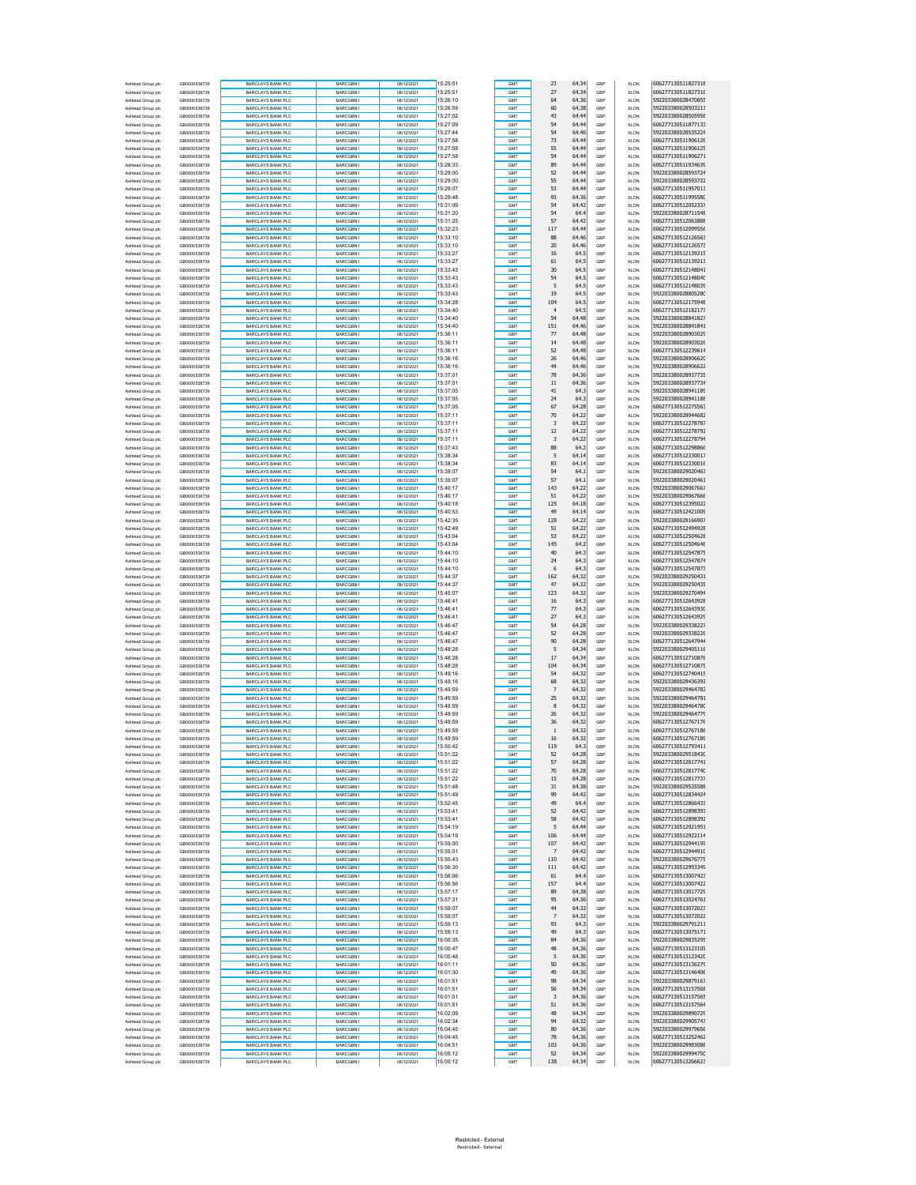| Ashtead Group plc                      | GB0000536739                 | <b>BARCLAYS BANK PLC</b>                             | <b>BARCGBN1</b>             | 08/12/2021               | 15:25:51             | GMT        | 23                      | 64.34          | GBP        | XLON                       | 606277130511827318                       |
|----------------------------------------|------------------------------|------------------------------------------------------|-----------------------------|--------------------------|----------------------|------------|-------------------------|----------------|------------|----------------------------|------------------------------------------|
| Ashtead Group plc                      | GB0000536739                 | <b>BARCLAYS BANK PLC</b>                             | BARCGBN1                    | 08/12/2021               | 15:25:51             | GMT        | 27                      | 64.34          | GBP        | <b>XLON</b>                | 606277130511827316                       |
| Ashtead Group plc                      | GB0000536739                 | <b>BARCLAYS BANK PLC</b>                             | BARCGBN1                    | 08/12/2021               | 15:26:10             | GMT        | 64                      | 64.36          | GBF        | <b>XLON</b>                | 592203380028470855                       |
| Ashtead Group plc                      | GB0000536739                 | <b>BARCLAYS BANK PLC</b>                             | BARCGBN1                    | 08/12/2021               | 15:26:59             | GMT        | 60                      | 64.38          | GBP        | <b>XLON</b>                | 592203380028503213                       |
| Ashtead Group plc                      | GB0000536739                 | BARCLAYS BANK PLC                                    | BARCGBN1                    | 08/12/2021               | 15:27:02             | GMT        | 43                      | 64.44          | GBP        | XLON                       | 592203380028505956                       |
| Ashtead Group plo                      | GB0000536739                 | <b>BARCLAYS BANK PLC</b>                             | BARCGBN1                    | 08/12/2021               | 15:27:09             | GMT        | 54                      | 64.44          | GBP        | XLON                       | 606277130511877133                       |
| Ashtead Group plc                      | GB0000536739                 | <b>BARCLAYS BANK PLC</b>                             | BARCGBN1                    | 08/12/2021               | 15:27:44             | GMT        | 54                      | 64.46          | GBP        | <b>XLON</b>                | 592203380028535224                       |
| Ashtead Group plc                      | GB0000536739                 | <b>BARCLAYS BANK PLC</b>                             | BARCGBN1                    | 08/12/2021               | 15:27:58             | GMT        | 73                      | 64.44          | GBF        | <b>XLON</b>                | 606277130511906126                       |
| Ashtead Group plc                      | GB0000536739                 | <b>BARCLAYS BANK PLC</b>                             | BARCGBN1                    | 08/12/2021               | 15:27:58             | GMT        | 55                      | 64.44          | GBP        | <b>XLON</b>                | 606277130511906125                       |
| Ashtead Group plc                      | GB0000536739<br>GR0000536739 | <b>BARCLAYS BANK PLC</b>                             | BARCGBN1                    | 08/12/2021               | 15:27:58             | GMT        | 54                      | 64.44          | GBP        | XLON                       | 606277130511906271                       |
| Ashtead Group plc                      |                              | <b>BARCLAYS BANK PLC</b><br>BARCLAYS BANK PLC        | BARCGBN1                    | 08/12/2021               | 15:28:33<br>15:29:00 | GMT        | 89<br>52                | 64.44<br>64.44 | GBP        | <b>XLON</b>                | 606277130511934639<br>592203380028593724 |
| Ashtead Group plc<br>Ashtead Group plc | GB0000536739<br>GB0000536739 | <b>BARCLAYS BANK PLC</b>                             | BARCGBN1<br>BARCGBN1        | 08/12/2021<br>08/12/2021 | 15:29:00             | GMT<br>GMT | 55                      | 64.44          | GBP<br>GBF | <b>XLON</b><br><b>XLON</b> | 592203380028593722                       |
| Ashtead Group plc                      | GB0000536739                 | <b>BARCLAYS BANK PLC</b>                             | BARCGBN1                    | 08/12/2021               | 15:29:07             | GMT        | 53                      | 64.44          | GBP        | <b>XLON</b>                | 606277130511957013                       |
| Ashtead Group plc                      | GB0000536739                 | <b>BARCLAYS BANK PLC</b>                             | BARCGBN1                    | 08/12/2021               | 15:29:48             | GMT        | 93                      | 64.36          | GBP        | XLON                       | 606277130511995580                       |
| Ashtead Group plc                      | GB0000536739                 | <b>BARCLAYS BANK PLC</b>                             | BARCGBN1                    | 08/12/2021               | 15:31:09             | GMT        | 54                      | 64.42          | GBP        | XLON                       | 606277130512052337                       |
| Ashtead Group plc                      | GB0000536739                 | <b>BARCLAYS BANK PLC</b>                             | BARCGBN1                    | 08/12/2021               | 15:31:20             | GMT        | 54                      | 64.4           | GBP        | <b>XLON</b>                | 592203380028711548                       |
| Ashtead Group plc                      | GB0000536739                 | <b>BARCLAYS BANK PLC</b>                             | <b>BARCGBN1</b>             | 08/12/2021               | 15:31:25             | GMT        | 57                      | 64.42          | GBF        | <b>XLON</b>                | 606277130512063888                       |
| Ashtead Group plc                      | GB0000536739                 | <b>BARCLAYS BANK PLC</b>                             | BARCGBN1                    | 08/12/2021               | 15:32:23             | GMT        | 117                     | 64.44          | GBP        | <b>XLON</b>                | 606277130512099556                       |
| Ashtead Group plc                      | GB0000536739                 | BARCLAYS BANK PLC                                    | BARCGBN1                    | 08/12/2021               | 15:33:10             | GMT        | 88                      | 64.46          | GBP        | XLON                       | 606277130512126563                       |
| Ashtead Group plc                      | GB0000536739                 | <b>BARCLAYS BANK PLC</b>                             | BARCGBN1                    | 08/12/2021               | 15:33:10             | GMT        | 20                      | 64.46          | GBP        | <b>XLON</b>                | 606277130512126573                       |
| Ashtead Group plc                      | GB0000536739                 | <b>BARCLAYS BANK PLC</b>                             | <b>BARCGRN1</b>             | 08/12/2021               | 15:33:27             | GMT        | 16                      | 64.5           | GBP        | <b>XLON</b>                | 606277130512139215                       |
| Ashtead Group plc                      | GB0000536739                 | <b>BARCLAYS BANK PLC</b>                             | BARCGBN1                    | 08/12/2021               | 15:33:27             | GMT        | 61                      | 64.5           | GBF        | <b>XLON</b>                | 606277130512139213                       |
| Ashtead Group plc                      | GB0000536739                 | <b>BARCLAYS BANK PLC</b>                             | BARCGBN1                    | 08/12/2021               | 15:33:43             | GMT        | 30                      | 64.5           | GBP        | <b>XLON</b>                | 606277130512148041                       |
| Ashtead Group plc<br>Ashtead Group plc | GB0000536739<br>GB0000536739 | <b>BARCLAYS BANK PLC</b><br><b>BARCLAYS BANK PLC</b> | BARCGBN1<br>BARCGBN1        | 08/12/2021<br>08/12/2021 | 15:33:43<br>15:33:43 | GMT<br>GMT | 54<br>5                 | 64.5<br>64.5   | GBP<br>GBP | XLON<br>XLON               | 606277130512148040<br>606277130512148039 |
| Ashtead Group plc                      | GB0000536739                 | <b>BARCLAYS BANK PLC</b>                             | BARCGBN1                    | 08/12/2021               | 15:33:43             | GMT        | 19                      | 64.5           | GBP        | <b>XLON</b>                | 592203380028805280                       |
| Ashtead Group plc                      | GB0000536739                 | <b>BARCLAYS BANK PLC</b>                             | BARCGBN1                    | 08/12/2021               | 15:34:28             | GMT        | 104                     | 64.5           | GBF        | <b>XLON</b>                | 606277130512175948                       |
| Ashtead Group plc                      | GB0000536739                 | <b>BARCLAYS BANK PLC</b>                             | BARCGBN1                    | 08/12/2021               | 15:34:40             | GMT        | $\overline{4}$          | 64.5           | GBP        | <b>XLON</b>                | 606277130512182177                       |
| Ashtead Group plc                      | GB0000536739                 | <b>BARCLAYS BANK PLC</b>                             | BARCGBN1                    | 08/12/2021               | 15:34:40             | GMT        | 54                      | 64.48          | GBP        | XLON                       | 592203380028841827                       |
| Ashtead Group plc                      | GR0000536739                 | <b>BARCLAYS BANK PLC</b>                             | BARCGBN1                    | 08/12/2021               | 15:34:40             | GMT        | 151                     | 64.46          | GBP        | <b>XLON</b>                | 592203380028841841                       |
| Ashtead Group plc                      | GB0000536739                 | <b>BARCLAYS BANK PLC</b>                             | BARCGBN1                    | 08/12/2021               | 15:36:11             | GMT        | 77                      | 64.48          | GBP        | <b>XLON</b>                | 592203380028903029                       |
| Ashtead Group plc                      | GB0000536739                 | <b>BARCLAYS BANK PLC</b>                             | BARCGBN1                    | 08/12/2021               | 15:36:11             | GMT        | 14                      | 64.48          | GBF        | <b>XLON</b>                | 592203380028903026                       |
| Ashtead Group plc                      | GB0000536739                 | <b>BARCLAYS BANK PLC</b>                             | BARCGBN1                    | 08/12/2021               | 15:36:11             | GMT        | 52                      | 64.48          | GBP        | <b>XLON</b>                | 606277130512239614                       |
| Ashtead Group plc                      | GB0000536739                 | <b>BARCLAYS BANK PLC</b>                             | BARCGBN1                    | 08/12/2021               | 15:36:16             | GMT        | 26                      | 64.46          | GBP        | XLON                       | 592203380028906620                       |
| Ashtead Group plc                      | GB0000536739                 | <b>BARCLAYS BANK PLC</b>                             | BARCGBN1                    | 08/12/2021               | 15:36:16<br>15:37:01 | GMT<br>GMT | 44<br>78                | 64.46<br>64.36 | GBP        | XLON                       | 592203380028906622<br>592203380028937735 |
| Ashtead Group plc                      | GB0000536739                 | <b>BARCLAYS BANK PLC</b>                             | BARCGBN1<br>BARCGBN1        | 08/12/2021               |                      |            |                         |                | GBP        | <b>XLON</b>                |                                          |
| Ashtead Group plc<br>Ashtead Group plc | GB0000536739<br>GB0000536739 | <b>BARCLAYS BANK PLC</b><br><b>BARCLAYS BANK PLC</b> | BARCGBN1                    | 08/12/2021<br>08/12/2021 | 15:37:01<br>15:37:05 | GMT<br>GMT | 11<br>41                | 64.36<br>64.3  | GBF<br>GBP | <b>XLON</b><br><b>XLON</b> | 592203380028937734<br>592203380028941189 |
| Ashtead Group plc                      | GB0000536739                 | <b>BARCLAYS BANK PLC</b>                             | BARCGBN1                    | 08/12/2021               | 15:37:05             | GMT        | 24                      | 64.3           | GBP        | XLON                       | 592203380028941188                       |
| Ashtead Group plc                      | GB0000536739                 | <b>BARCLAYS BANK PLC</b>                             | BARCGBN1                    | 08/12/2021               | 15:37:05             | GMT        | 67                      | 64.28          | GBP        | <b>XLON</b>                | 606277130512275563                       |
| Ashtead Group plc                      | GB0000536739                 | <b>BARCLAYS BANK PLC</b>                             | <b>BARCGRN1</b>             | 08/12/2021               | 15:37:11             | GMT        | 70                      | 64.22          | GBP        | <b>XLON</b>                | 592203380028944682                       |
| Ashtead Group plc                      | GB0000536739                 | <b>BARCLAYS BANK PLC</b>                             | BARCGBN1                    | 08/12/2021               | 15:37:11             | GMT        | 3                       | 64.22          | GBF        | <b>XLON</b>                | 606277130512278787                       |
| Ashtead Group plc                      | GB0000536739                 | <b>BARCLAYS BANK PLC</b>                             | BARCGBN1                    | 08/12/2021               | 15:37:11             | GMT        | 12                      | 64.22          | GBP        | <b>XLON</b>                | 606277130512278792                       |
| Ashtead Group plc                      | GB0000536739                 | <b>BARCLAYS BANK PLC</b>                             | <b>BARCGRN1</b>             | 08/12/2021               | 15:37:11             | GMT        | $\sqrt{3}$              | 64.22          | GBP        | XLON                       | 606277130512278794                       |
| Ashtead Group plc                      | GB0000536739                 | <b>BARCLAYS BANK PLC</b>                             | BARCGBN1                    | 08/12/2021               | 15:37:43             | GMT        | 88                      | 64.2           | GBP        | XLON                       | 606277130512298866                       |
| Ashtead Group plc                      | GB0000536739                 | <b>BARCLAYS BANK PLC</b>                             | BARCGBN1                    | 08/12/2021               | 15:38:34             | GMT        | 5                       | 64.14          | GBP        | <b>XLON</b>                | 606277130512330017                       |
| Ashtead Group plc                      | GB0000536739                 | <b>BARCLAYS BANK PLC</b>                             | BARCGBN1                    | 08/12/2021               | 15:38:34             | GMT        | 83                      | 64.14          | GBF        | <b>XLON</b>                | 606277130512330016                       |
| Ashtead Group plc                      | GB0000536739                 | <b>BARCLAYS BANK PLC</b>                             | BARCGBN1                    | 08/12/2021               | 15:39:07             | GMT        | 54                      | 64.1           | GBP        | <b>XLON</b>                | 592203380029020463                       |
| Ashtead Group plc                      | GB0000536739<br>GR0000536739 | <b>BARCLAYS BANK PLC</b>                             | BARCGBN1<br>BARCGBN1        | 08/12/2021               | 15:39:07             | GMT        | 57                      | 64.1           | GBP        | XLON                       | 592203380029020461<br>592203380029067667 |
| Ashtead Group plc<br>Ashtead Group plc | GB0000536739                 | <b>BARCLAYS BANK PLC</b><br>BARCLAYS BANK PLC        | <b>BARCGRN1</b>             | 08/12/2021<br>08/12/2021 | 15:40:17<br>15:40:17 | GMT<br>GMT | 143<br>51               | 64.22<br>64.22 | GBP<br>GBP | <b>XLON</b><br><b>XLON</b> | 592203380029067666                       |
| Ashtead Group plc                      | GB0000536739                 | <b>BARCLAYS BANK PLC</b>                             | BARCGBN1                    | 08/12/2021               | 15:40:18             | GMT        | 125                     | 64.18          | GBF        | <b>XLON</b>                | 606277130512395022                       |
| Ashtead Group plc                      | GB0000536739                 | <b>BARCLAYS BANK PLC</b>                             | BARCGBN1                    | 08/12/2021               | 15:40:53             | GMT        | 49                      | 64.14          | GBP        | <b>XLON</b>                | 606277130512421009                       |
| Ashtead Group plc                      | GB0000536739                 | <b>BARCLAYS BANK PLC</b>                             | BARCGBN1                    | 08/12/2021               | 15:42:35             | GMT        | 128                     | 64.22          | GBP        | XLON                       | 592203380029166907                       |
| Ashtead Group plc                      | GB0000536739                 | <b>BARCLAYS BANK PLC</b>                             | BARCGBN1                    | 08/12/2021               | 15:42:49             | GMT        | 51                      | 64.22          | GBP        | XLON                       | 606277130512494928                       |
| Ashtead Group plc                      | GB0000536739                 | <b>BARCLAYS BANK PLC</b>                             | BARCGBN1                    | 08/12/2021               | 15:43:04             | GMT        | 53                      | 64.22          | GBP        | <b>XLON</b>                | 606277130512504628                       |
| Ashtead Group plc                      | GB0000536739                 | <b>BARCLAYS BANK PLC</b>                             | <b>BARCGBN1</b>             | 08/12/2021               | 15:43:04             | GMT        | 145                     | 64.2           | GBF        | <b>XLON</b>                | 606277130512504646                       |
| Ashtead Group plc                      | GB0000536739                 | <b>BARCLAYS BANK PLC</b>                             | BARCGBN1                    | 08/12/2021               | 15:44:10             | GMT        | 40                      | 64.3           | GBP        | <b>XLON</b>                | 606277130512547875                       |
| Ashtead Group plc                      | GB0000536739                 | <b>BARCLAYS BANK PLC</b>                             | BARCGBN1                    | 08/12/2021               | 15:44:10             | GMT        | 24                      | 64.3           | GBF        | XLON                       | 606277130512547874                       |
| Ashtead Group plc                      | GB0000536739                 | <b>BARCLAYS BANK PLC</b>                             | BARCGBN1                    | 08/12/2021               | 15:44:10             | GMT        | 6                       | 64.3           | GBP        | <b>XLON</b>                | 606277130512547873                       |
| Ashtead Group plc                      | GB0000536739                 | <b>BARCLAYS BANK PLC</b>                             | BARCGBN1                    | 08/12/2021               | 15:44:37             | GMT        | 162                     | 64.32          | GBP        | <b>XLON</b>                | 592203380029250431                       |
| Ashtead Group plc                      | GB0000536739                 | <b>BARCLAYS BANK PLC</b>                             | BARCGBN1                    | 08/12/2021               | 15:44:37             | GMT        | 47                      | 64.32          | GBF        | <b>XLON</b>                | 592203380029250435                       |
| Ashtead Group plc                      | GB0000536739                 | <b>BARCLAYS BANK PLC</b>                             | BARCGBN1<br>BARCGBN1        | 08/12/2021               | 15:45:07             | GMT        | 123                     | 64.32          | GBP        | <b>XLON</b>                | 592203380029270494                       |
| Ashtead Group plc                      | GB0000536739<br>GB0000536739 | <b>BARCLAYS BANK PLC</b><br><b>BARCLAYS BANK PLC</b> | BARCGBN1                    | 08/12/2021<br>08/12/2021 | 15:46:41<br>15:46:41 | GMT<br>GMT | 16<br>77                | 64.3<br>64.3   | GBP<br>GBP | XLON<br>XLON               | 606277130512643928<br>606277130512643930 |
| Ashtead Group plc<br>Ashtead Group plc | GB0000536739                 | <b>BARCLAYS BANK PLC</b>                             | BARCGBN1                    | 08/12/2021               | 15:46:41             | GMT        | 27                      | 64.3           | GBP        | <b>XLON</b>                | 606277130512643929                       |
| Ashtead Group plc                      | GB0000536739                 | <b>BARCLAYS BANK PLC</b>                             | BARCGBN1                    | 08/12/2021               | 15:46:47             | GMT        | 54                      | 64.28          | GBF        | <b>XLON</b>                | 592203380029338227                       |
| Ashtead Group plc                      | GB0000536739                 | <b>BARCLAYS BANK PLC</b>                             | BARCGBN1                    | 08/12/2021               | 15:46:47             | GMT        | 52                      | 64.28          | GBP        | <b>XLON</b>                | 592203380029338226                       |
| Ashtead Group plc                      | GB0000536739                 | <b>BARCLAYS BANK PLC</b>                             | BARCGBN1                    | 08/12/2021               | 15:46:47             | GMT        | 90                      | 64.28          | GBP        | XLON                       | 606277130512647944                       |
| Ashtead Group plc                      | GR0000536739                 | <b>BARCLAYS BANK PLC</b>                             | BARCGBN1                    | 08/12/2021               | 15:48:28             | GMT        | 5                       | 64.34          | GBP        | <b>XLON</b>                | 592203380029405116                       |
| Ashtead Group plc                      | GB0000536739                 | <b>BARCLAYS BANK PLC</b>                             | <b>BARCGRN1</b>             | 08/12/2021               | 15:48:28             | GMT        | 17                      | 64.34          | GBP        | <b>XLON</b>                | 606277130512710876                       |
| Ashtead Group plc                      | GB0000536739                 | <b>BARCLAYS BANK PLC</b>                             | BARCGBN1                    | 08/12/2021               | 15:48:28             | GMT        | 104                     | 64.34          | GBF        | <b>XLON</b>                | 606277130512710875                       |
| Ashtead Group plc                      | GB0000536739                 | <b>BARCLAYS BANK PLC</b>                             | BARCGBN1                    | 08/12/2021               | 15:49:16             | GMT        | 54                      | 64.32          | GBP        | <b>XLON</b>                | 606277130512740415                       |
| Ashtead Group plc                      | GB0000536739                 | <b>BARCLAYS BANK PLC</b>                             | BARCGBN1                    | 08/12/2021               | 15:49:16             | GMT        | 68                      | 64.32          | GBP        | XLON                       | 592203380029436392                       |
| Ashtead Group plc                      | GB0000536739                 | <b>BARCLAYS BANK PLC</b>                             | BARCGBN1                    | 08/12/2021               | 15:49:59             | GMT        | $\overline{7}$          | 64.32          | GBP        | XLON                       | 592203380029464782                       |
| Ashtead Group plc                      | GR0000536739                 | <b>BARCLAYS BANK PLC</b>                             | BARCGBN1                    | 08/12/2021               | 15:49:59             | GMT        | 25                      | 64.32          | GBP        | <b>XLON</b>                | 592203380029464781                       |
| Ashtead Group plc<br>Ashtead Group plc | GB0000536739<br>GB0000536739 | <b>BARCLAYS BANK PLC</b><br><b>BARCLAYS BANK PLC</b> | <b>BARCGBN1</b><br>BARCGBN1 | 08/12/2021<br>08/12/2021 | 15:49:59<br>15:49:59 | GMT<br>GMT | 8<br>26                 | 64.32<br>64.32 | GBF<br>GBP | <b>XLON</b><br><b>XLON</b> | 592203380029464780<br>592203380029464779 |
| Ashtead Group plc                      | GB0000536739                 | <b>BARCLAYS BANK PLC</b>                             | BARCGBN1                    | 08/12/2021               | 15:49:59             | GMT        | 36                      | 64.32          | GBF        | <b>XLON</b>                | 606277130512767176                       |
| Ashtead Group plc                      | GB0000536739                 | <b>BARCLAYS BANK PLC</b>                             | BARCGBN1                    | 08/12/2021               | 15:49:59             | GMT        | $\mathbf{1}$            | 64.32          | GBP        | <b>XLON</b>                | 606277130512767186                       |
| Ashtead Group plc                      | GB0000536739                 | <b>BARCLAYS BANK PLC</b>                             | BARCGBN1                    | 08/12/2021               | 15:49:59             | GMT        | 16                      | 64.32          | GBP        | <b>XLON</b>                | 606277130512767189                       |
| Ashtead Group plc                      | GB0000536739                 | BARCLAYS BANK PLO                                    | BARCGBN1                    | 08/12/2021               | 15:50:42             |            | 119                     | 64.3           | GBF        | <b>XLON</b>                | 606277130512793411                       |
| Ashtead Group plc                      | GB0000536739                 | <b>BARCLAYS BANK PLC</b>                             | BARCGBN1                    | 08/12/2021               | 15:51:22             | GMT        | 52                      | 64.28          | GBP        | <b>XLON</b>                | 592203380029518430                       |
| Ashtead Group plc                      | GB0000536739                 | <b>BARCLAYS BANK PLC</b>                             | BARCGBN1                    | 08/12/2021               | 15:51:22             | GMT        | 57                      | 64.28          | GBP        | XLON                       | 606277130512817741                       |
| Ashtead Group plc                      | GB0000536739                 | <b>BARCLAYS BANK PLC</b>                             | BARCGBN1                    | 08/12/2021               | 15:51:22             | GMT        | 70                      | 64.28          | GBP        | XLON                       | 606277130512817740                       |
| Ashtead Group plc                      | GR0000536739                 | <b>BARCLAYS BANK PLC</b>                             | BARCGBN1                    | 08/12/2021               | 15:51:22             | GMT        | 15                      | 64.28          | GBP        | <b>XLON</b>                | 606277130512817737                       |
| Ashtead Group plc                      | GB0000536739                 | <b>BARCLAYS BANK PLC</b>                             | BARCGBN1                    | 08/12/2021               | 15:51:48<br>15:51:49 | GMT        | 31<br>99                | 64.38<br>64.42 | GBF        | <b>XLON</b>                | 592203380029535588<br>606277130512834424 |
| Ashtead Group plc                      | GB0000536739<br>GB0000536739 | <b>BARCLAYS BANK PLC</b><br>BARCLAYS BANK PLC        | BARCGBN1<br>BARCGBN1        | 08/12/2021<br>08/12/2021 | 15:52:45             | GMT<br>GMT | 49                      | 64.4           | GBP<br>GBP | <b>XLON</b><br>XLON        | 606277130512866433                       |
| Ashtead Group plc<br>Ashtead Group plc | GB0000536739                 | BARCLAYS BANK PLC                                    | BARCGBN1                    | 08/12/2021               | 15:53:41             | GMT        | 52                      | 64.42          | GBP        | XLON                       | 606277130512898393                       |
| Ashtead Group plc                      | GB0000536739                 | BARCLAYS BANK PLC                                    | BARCGBN1                    | 08/12/2021               | 15:53:41             | GMT        | 58                      | 64.42          | GBP        | <b>XLON</b>                | 606277130512898392                       |
| Ashtead Group plc                      | GB0000536739                 | <b>BARCLAYS BANK PLC</b>                             | BARCGBN1                    | 08/12/2021               | 15:54:19             | GMT        | 5                       | 64.44          | GBF        | <b>XLON</b>                | 606277130512921951                       |
| Ashtead Group plc                      | GR0000536739                 | <b>BARCLAYS BANK PLC</b>                             | <b>BARCGRN1</b>             | 08/12/2021               | 15:54:19             | GMT        | 106                     | 64.44          | GBP        | <b>XLON</b>                | 606277130512922114                       |
| Ashtead Group plc                      | GB0000536739                 | BARCLAYS BANK PLC                                    | BARCGBN1                    | 08/12/2021               | 15:55:00             | GMT        | 107                     | 64.42          | GBP        | XLON                       | 606277130512944159                       |
| Ashtead Group plc                      | GB0000536739                 | <b>BARCLAYS BANK PLC</b>                             | BARCGBN1                    | 08/12/2021               | 15:55:01             | GMT        | $\overline{7}$          | 64.42          | GBP        | XLON                       | 606277130512944910                       |
| Ashtead Group plc                      | GR0000536739                 | <b>BARCLAYS BANK PLC</b>                             | BARCGBN1                    | 08/12/2021               | 15:55:43             | GMT        | 110                     | 64.42          | GBP        | <b>XLON</b>                | 592203380029676775                       |
| Ashtead Group plc                      | GB0000536739                 | <b>BARCLAYS BANK PLC</b>                             | BARCGBN1                    | 08/12/2021               | 15:56:30             | GMT        | 111                     | 64.42          | GBP        | <b>XLON</b>                | 606277130512993349                       |
| Ashtead Group plc                      | GB0000536739                 | <b>BARCLAYS BANK PLC</b>                             | <b>BARCGRN1</b>             | 08/12/2021               | 15:56:56             | GMT        | 61                      | 64.4           | GBP        | <b>XLON</b>                | 606277130513007423                       |
| Ashtead Group plc                      | GB0000536739                 | <b>BARCLAYS BANK PLC</b>                             | BARCGBN1                    | 08/12/2021               | 15:56:56             | GMT        | 157                     | 64.4           | GBP        | XLON                       | 606277130513007422                       |
| Ashtead Group plc                      | GB0000536739                 | BARCLAYS BANK PLC                                    | BARCGBN1                    | 08/12/2021               | 15:57:17             | GMT        | 89                      | 64.38          | GBP        | XLON                       | 606277130513017729                       |
| Ashtead Group plc<br>Ashtead Group plc | GB0000536739<br>GB0000536739 | BARCLAYS BANK PLC<br><b>BARCLAYS BANK PLC</b>        | BARCGBN1<br>BARCGBN1        | 08/12/2021<br>08/12/2021 | 15:57:31<br>15:59:07 | GMT<br>GMT | 95<br>44                | 64.36<br>64.32 | GBP<br>GBF | <b>XLON</b><br><b>XLON</b> | 606277130513024761<br>606277130513072023 |
| Ashtead Group plc                      | GR0000536739                 | <b>BARCLAYS BANK PLC</b>                             | <b>BARCGRN1</b>             | 08/12/2021               | 15:59:07             | GMT        | $\overline{7}$          | 64.32          | GBP        | <b>XLON</b>                | 606277130513072022                       |
| Ashtead Group plc                      | GB0000536739                 | <b>BARCLAYS BANK PLC</b>                             | BARCGBN1                    | 08/12/2021               | 15:59:13             | GMT        | 93                      | 64.3           | GBP        | XLON                       | 592203380029791211                       |
| Ashtead Group plc                      | GB0000536739                 | <b>BARCLAYS BANK PLC</b>                             | BARCGBN1                    | 08/12/2021               | 15:59:13             | GMT        | 49                      | 64.3           | GBP        | XLON                       | 606277130513075171                       |
| Ashtead Group plc                      | GB0000536739                 | <b>BARCLAYS BANK PLC</b>                             | BARCGBN1                    | 08/12/2021               | 16:00:35             | GMT        | 84                      | 64.36          | GBP        | <b>XLON</b>                | 592203380029835295                       |
| Ashtead Group plc                      | GB0000536739                 | <b>BARCLAYS BANK PLC</b>                             | BARCGBN1                    | 08/12/2021               | 16:00:47             | GMT        | 48                      | 64.36          | GBP        | <b>XLON</b>                | 606277130513123105                       |
| Ashtead Group plc                      | GB0000536739                 | <b>BARCLAYS BANK PLC</b>                             | BARCGBN1                    | 08/12/2021               | 16:00:48             | GMT        | 5                       | 64.36          | GBP        | <b>XLON</b>                | 606277130513123420                       |
| Ashtead Group plc                      | GB0000536739                 | <b>BARCLAYS BANK PLC</b>                             | BARCGBN1                    | 08/12/2021               | 16:01:11             | GMT        | 50                      | 64.36          | GBP        | XLON                       | 606277130513136279                       |
| Ashtead Group plc                      | GB0000536739                 | <b>BARCLAYS BANK PLC</b>                             | BARCGBN1                    | 08/12/2021               | 16:01:30             | GMT        | 49                      | 64.36          | GBP        | XLON                       | 606277130513146406                       |
| Ashtead Group plc                      | GB0000536739                 | <b>BARCLAYS BANK PLC</b>                             | BARCGBN1                    | 08/12/2021               | 16:01:51             | GMT        | 98                      | 64.34          | GBP        | <b>XLON</b>                | 592203380029879167                       |
| Ashtead Group plc                      | GB0000536739                 | <b>BARCLAYS BANK PLC</b>                             | BARCGBN1                    | 08/12/2021               | 16:01:51             | GMT        | 56                      | 64.34          | GBF        | <b>XLON</b>                | 606277130513157568                       |
| Ashtead Group plc                      | GB0000536739                 | <b>BARCLAYS BANK PLC</b>                             | BARCGBN1                    | 08/12/2021               | 16:01:51             | GMT        | $\overline{\mathbf{3}}$ | 64.36          | GBP        | <b>XLON</b>                | 606277130513157565                       |
| Ashtead Group plc                      | GB0000536739                 | <b>BARCLAYS BANK PLC</b>                             | BARCGBN1                    | 08/12/2021               | 16:01:51             | GMT        | $51\,$<br>48            | 64.36          | GBP        | XLON                       | 606277130513157564                       |
| Ashtead Group plc<br>Ashtead Group plc | GB0000536739<br>GB0000536739 | <b>BARCLAYS BANK PLC</b><br><b>BARCLAYS BANK PLC</b> | BARCGBN1<br>BARCGBN1        | 08/12/2021<br>08/12/2021 | 16:02:09<br>16:02:34 | GMT<br>GMT | 94                      | 64.34<br>64.32 | GBP<br>GBP | XLON<br><b>XLON</b>        | 592203380029890729<br>592203380029905747 |
| Ashtead Group plc                      | GB0000536739                 | <b>BARCLAYS BANK PLC</b>                             | BARCGBN1                    | 08/12/2021               | 16:04:45             | GMT        | 80                      | 64.36          | GBP        | <b>XLON</b>                | 592203380029979656                       |
| Ashtead Group plc                      | GB0000536739                 | <b>BARCLAYS BANK PLC</b>                             | BARCGBN1                    | 08/12/2021               | 16:04:45             | GMT        | 78                      | 64.36          | GBP        | <b>XLON</b>                | 606277130513252462                       |
| Ashtead Group plc                      | GB0000536739                 | <b>BARCLAYS BANK PLC</b>                             | BARCGBN1                    | 08/12/2021               | 16:04:51             | GMT        | 103                     | 64.36          | GBP        | XLON                       | 592203380029983086                       |
| Ashtead Group pk                       | GB0000536739                 | <b>BARCLAYS BANK PLC</b>                             | BARCGBN1                    | 08/12/2021               | 16:05:12             | GMT        | 52                      | 64.34          | GBP        | <b>XLON</b>                | 592203380029994750                       |
| Ashtead Group plc                      | GB0000536739                 | <b>BARCLAYS BANK PLC</b>                             | BARCGBN1                    | 08/12/2021               | 16:05:12             | GMT        | 138                     | 64.34          | GBP        | <b>XLON</b>                | 606277130513266623                       |